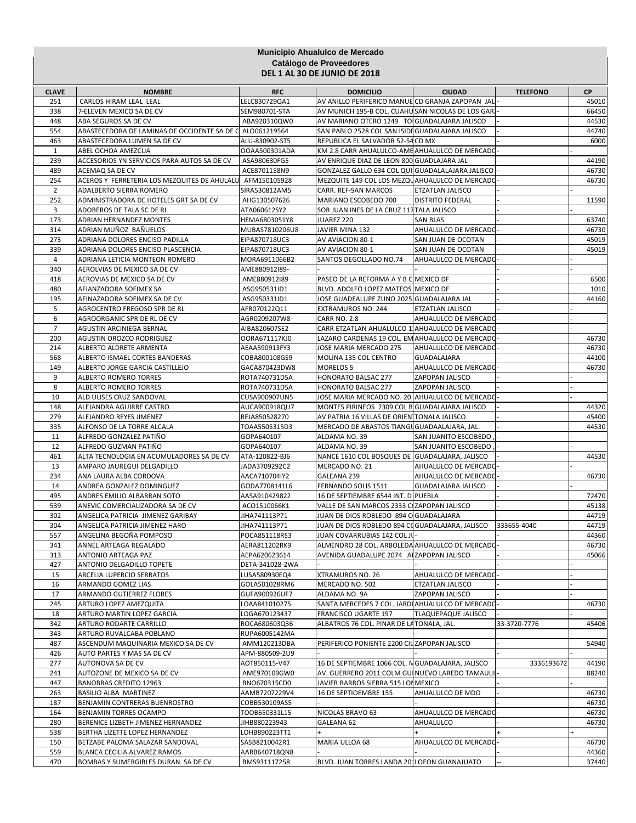## **Municipio Ahualulco de Mercado Catálogo de Proveedores DEL 1 AL 30 DE JUNIO DE 2018**

| <b>CLAVE</b>   | <b>NOMBRE</b>                                                          | <b>RFC</b>                       | <b>DOMICILIO</b>                                                                                   | <b>CIUDAD</b>                           | <b>TELEFONO</b> | <b>CP</b>      |
|----------------|------------------------------------------------------------------------|----------------------------------|----------------------------------------------------------------------------------------------------|-----------------------------------------|-----------------|----------------|
| 251            | CARLOS HIRAM LEAL LEAL                                                 | LELC830729QA1                    | AV ANILLO PERIFERICO MANUE CD GRANJA ZAPOPAN JAL                                                   |                                         |                 | 45010          |
| 338            | 7-ELEVEN MEXICO SA DE CV                                               | SEM980701-STA                    | AV MUNICH 195-B COL. CUAHU SAN NICOLAS DE LOS GARI                                                 |                                         |                 | 66450          |
| 448            | ABA SEGUROS SA DE CV                                                   | ABA920310QW0                     | AV MARIANO OTERO 1249 TO GUADALAJARA JALISCO                                                       |                                         |                 | 44530          |
| 554            | ABASTECEDORA DE LAMINAS DE OCCIDENTE SA DE C ALO061219564              |                                  | SAN PABLO 2528 COL SAN ISIDI GUADALAJARA JALISCO                                                   |                                         |                 | 44740          |
| 463            | ABASTECEDORA LUMEN SA DE CV                                            | ALU-830902-ST5                   | REPUBLICA EL SALVADOR 52-54 CD MX                                                                  |                                         |                 | 6000           |
| 1              | ABEL OCHOA AMEZCUA                                                     | OOAA500301ADA                    | KM 2.8 CARR AHUALULCO-AME AHUALULCO DE MERCADO                                                     |                                         |                 |                |
| 239            | ACCESORIOS YN SERVICIOS PARA AUTOS SA DE CV                            | ASA980630FG5                     | AV ENRIQUE DIAZ DE LEON 800 GUADLAJARA JAL                                                         |                                         |                 | 44190          |
| 489<br>254     | ACEMAQ SA DE CV<br>ACEROS Y FERRETERIA LOS MEZQUITES DE AHULALU        | ACE8701158N9<br>AFM150105928     | GONZALEZ GALLO 634 COL QUI GUADALALAJARA JALISCO<br>MEZQUITE 149 COL LOS MEZQUAHUALULCO DE MERCADO |                                         |                 | 46730<br>46730 |
| $\overline{2}$ | ADALBERTO SIERRA ROMERO                                                | SIRA530812AM5                    | CARR. REF-SAN MARCOS                                                                               | ETZATLAN JALISCO                        |                 |                |
| 252            | ADMINISTRADORA DE HOTELES GRT SA DE CV                                 | AHG130507626                     | MARIANO ESCOBEDO 700                                                                               | <b>DISTRITO FEDERAL</b>                 |                 | 11590          |
| 3              | ADOBEROS DE TALA SC DE RL                                              | ATA060612SY2                     | SOR JUAN INES DE LA CRUZ 117 TALA JALISCO                                                          |                                         |                 |                |
| 173            | ADRIAN HERNANDEZ MONTES                                                | HEMA6803051Y8                    | JUAREZ 220                                                                                         | <b>SAN BLAS</b>                         |                 | 63740          |
| 314            | ADRIAN MUÑOZ BAÑUELOS                                                  | MUBAS7810206U8                   | JAVIER MINA 132                                                                                    | AHUALULCO DE MERCADO                    |                 | 46730          |
| 273            | ADRIANA DOLORES ENCISO PADILLA                                         | EIPA870718UC3                    | AV AVIACION 80-1                                                                                   | SAN JUAN DE OCOTAN                      |                 | 45019          |
| 339            | ADRIANA DOLORES ENCISO PLASCENCIA                                      | EIPA870718UC3                    | AV AVIACION 80-1                                                                                   | SAN JUAN DE OCOTAN                      |                 | 45019          |
| 4<br>340       | ADRIANA LETICIA MONTEON ROMERO<br>AEROLVIAS DE MEXICO SA DE CV         | MORA6911066B2<br>AME880912I89-   | SANTOS DEGOLLADO NO.74                                                                             | AHUALULCO DE MERCADO                    |                 |                |
| 418            | AEROVIAS DE MEXICO SA DE CV                                            | AME880912I89                     | PASEO DE LA REFORMA A Y B C MEXICO DF                                                              |                                         |                 | 6500           |
| 480            | AFIANZADORA SOFIMEX SA                                                 | ASG950531ID1                     | BLVD. ADOLFO LOPEZ MATEOS MEXICO DF                                                                |                                         |                 | 1010           |
| 195            | AFINAZADORA SOFIMEX SA DE CV                                           | ASG950331ID1                     | JOSE GUADEALUPE ZUNO 2025 GUADALAJARA JAL                                                          |                                         |                 | 44160          |
| 5              | AGROCENTRO FREGOSO SPR DE RL                                           | AFR070122Q11                     | EXTRAMUROS NO. 244                                                                                 | ETZATLAN JALISCO                        |                 |                |
| 6              | AGROORGANIC SPR DE RL DE CV                                            | AGR0209207W8                     | CARR NO. 2.8                                                                                       | AHUALULCO DE MERCADO                    |                 |                |
| $\overline{7}$ | AGUSTIN ARCINIEGA BERNAL                                               | AIBA820607SE2                    | CARR ETZATLAN AHUALULCO 11 AHUALULCO DE MERCADO                                                    |                                         |                 |                |
| 200            | AGUSTIN OROZCO RODRIGUEZ                                               | OORA671117KJ0                    | LAZARO CARDENAS 19 COL. EM AHUALULCO DE MERCADO                                                    |                                         |                 | 46730          |
| 214            | ALBERTO ALDRETE ARMENTA                                                | AEAA590913FY3                    | JOSE MARIA MERCADO 275                                                                             | AHUALULCO DE MERCADO                    |                 | 46730          |
| 568            | ALBERTO ISMAEL CORTES BANDERAS<br>ALBERTO JORGE GARCIA CASTILLEJO      | COBA800108GS9                    | MOLINA 135 COL CENTRO                                                                              | GUADALAJARA                             |                 | 44100<br>46730 |
| 149<br>9       | ALBERTO ROMERO TORRES                                                  | GACA870423DW8<br>ROTA740731D5A   | MORELOS 5<br>HONORATO BALSAC 277                                                                   | AHUALULCO DE MERCADO<br>ZAPOPAN JALISCO |                 |                |
| 8              | ALBERTO ROMERO TORRES                                                  | ROTA740731D5A                    | HONORATO BALSAC 277                                                                                | ZAPOPAN JALISCO                         |                 |                |
| 10             | ALD ULISES CRUZ SANDOVAL                                               | CUSA900907UN5                    | JOSE MARIA MERCADO NO. 20 AHUALULCO DE MERCADO                                                     |                                         |                 |                |
| 148            | ALEJANDRA AGUIRRE CASTRO                                               | AUCA900918QU7                    | MONTES PIRINEOS 2309 COL B GUADALAJARA JALISCO                                                     |                                         |                 | 44320          |
| 279            | ALEJANDRO REYES JIMENEZ                                                | REJA850528270                    | AV PATRIA 16 VILLAS DE ORIEN TONALA JALISCO                                                        |                                         |                 | 45400          |
| 335            | ALFONSO DE LA TORRE ALCALA                                             | TOAA5505315D3                    | MERCADO DE ABASTOS TIANGU GUADAALAJARA, JAL.                                                       |                                         |                 | 44530          |
| 11             | ALFREDO GONZALEZ PATIÑO                                                | GOPA640107                       | ALDAMA NO. 39                                                                                      | SAN JUANITO ESCOBEDO                    |                 |                |
| 12             | ALFREDO GUZMAN PATIÑO                                                  | GOPA640107                       | ALDAMA NO. 39                                                                                      | SAN JUANITO ESCOBEDO                    |                 |                |
| 461<br>13      | ALTA TECNOLOGIA EN ACUMULADORES SA DE CV<br>AMPARO JAUREGUI DELGADILLO | ATA-120822-BJ6<br>JADA3709292C2  | NANCE 1610 COL BOSQUES DE GUADALAJARA, JALISCO<br>MERCADO NO. 21                                   | AHUALULCO DE MERCADO                    |                 | 44530          |
| 234            | ANA LAURA ALBA CORDOVA                                                 | AACA710704IY2                    | GALEANA 239                                                                                        | AHUALULCO DE MERCADO                    |                 | 46730          |
| 14             | ANDREA GONZALEZ DOMINGUEZ                                              | GODA7708141L6                    | FERNANDO SOLIS 1511                                                                                | <b>GUADALAJARA JALISCO</b>              |                 |                |
| 495            | ANDRES EMILIO ALBARRAN SOTO                                            | AASA910429822                    | 16 DE SEPTIEMBRE 6544 INT. D PUEBLA                                                                |                                         |                 | 72470          |
| 539            | ANEVIC COMERCIALIZADORA SA DE CV                                       | ACO1510066K1                     | VALLE DE SAN MARCOS 2333 CIZAPOPAN JALISCO                                                         |                                         |                 | 45138          |
| 302            | ANGELICA PATRICIA JIMENEZ GARIBAY                                      | JIHA741113P71                    | JUAN DE DIOS ROBLEDO 894 C GUADALAJARA                                                             |                                         |                 | 44719          |
| 304            | ANGELICA PATRICIA JIMENEZ HARO                                         | JIHA741113P71                    | JUAN DE DIOS ROBLEDO 894 COGUADALAJARA, JALISCO                                                    |                                         | 333655-4040     | 44719          |
| 557            | ANGELINA BEGOÑA POMPOSO                                                | POCA851118RS3                    | JUAN COVARRUBIAS 142 COL JU                                                                        |                                         |                 | 44360          |
| 341            | ANNEL ARTEAGA REGALADO                                                 | AERA811202RK9                    | ALMENDRO 28 COL. ARBOLEDA AHUALULCO DE MERCADO-                                                    |                                         |                 | 46730          |
| 313<br>427     | <b>ANTONIO ARTEAGA PAZ</b><br>ANTONIO DELGADILLO TOPETE                | AEPA620623614<br>DETA-341028-2WA | AVENIDA GUADALUPE 2074 A ZAPOPAN JALISCO                                                           |                                         |                 | 45066          |
| 15             | ARCELIA LUPERCIO SERRATOS                                              | LUSA580930EQ4                    | XTRAMUROS NO. 26                                                                                   | AHUALULCO DE MERCADO                    |                 |                |
| 16             | ARMANDO GOMEZ LIAS                                                     | GOLA501028RM6                    | MERCADO NO. 502                                                                                    | ETZATLAN JALISCO                        |                 |                |
| 17             | ARMANDO GUTIERREZ FLORES                                               | GUFA900926UF7                    | ALDAMA NO. 9A                                                                                      | ZAPOPAN JALISCO                         |                 |                |
| 245            | ARTURO LOPEZ AMEZQUITA                                                 | LOAA841010275                    | SANTA MERCEDES 7 COL. JARDI AHUALULCO DE MERCADO                                                   |                                         |                 | 46730          |
| 18             | ARTURO MARTIN LOPEZ GARCIA                                             | LOGA670123437                    | FRANCISCO UGARTE 197                                                                               | TLAQUEPAQUE JALISCO                     |                 |                |
| 342            | ARTURO RODARTE CARRILLO                                                | ROCA680603Q36                    | ALBATROS 76 COL. PINAR DE LA TONALA, JAL.                                                          |                                         | 33-3720-7776    | 45406          |
| 343            | ARTURO RUVALCABA POBLANO                                               | RUPA6005142MA                    |                                                                                                    |                                         |                 |                |
| 487            | ASCENDUM MAQUINARIA MEXICO SA DE CV                                    | AMM120213DBA                     | PERIFERICO PONIENTE 2200 CIUZAPOPAN JALISCO                                                        |                                         |                 | 54940          |
| 426<br>277     | AUTO PARTES Y MAS SA DE CV<br>AUTONOVA SA DE CV                        | APM-880509-2U9<br>AOT850115-V47  | 16 DE SEPTIEMBRE 1066 COL. N GUADALAJARA, JALISCO                                                  |                                         | 3336193672      | 44190          |
| 241            | AUTOZONE DE MEXICO SA DE CV                                            | AME970109GW0                     | AV. GUERRERO 2011 COLM GUI NUEVO LAREDO TAMAULI                                                    |                                         |                 | 88240          |
| 447            | <b>BANOBRAS CREDITO 12963</b>                                          | BNO670315CD0                     | JAVIER BARROS SIERRA 515 LOI MEXICO                                                                |                                         |                 |                |
| 263            | BASILIO ALBA MARTINEZ                                                  | AAMB7207229V4                    | 16 DE SEPTIOEMBRE 155                                                                              | AHUALULCO DE MDO                        |                 | 46730          |
| 187            | BENJAMIN CONTRERAS BUENROSTRO                                          | COBB530109AS5                    |                                                                                                    |                                         |                 | 46730          |
| 164            | BENJAMIN TORRES OCAMPO                                                 | TOOB650331L15                    | NICOLAS BRAVO 63                                                                                   | AHUALULCO DE MERCADO                    |                 | 46730          |
| 280            | BERENICE LIZBETH JIMENEZ HERNANDEZ                                     | JIHB880223943                    | GALEANA 62                                                                                         | AHUALULCO                               |                 | 46730          |
| 538            | BERTHA LIZETTE LOPEZ HERNANDEZ                                         | LOHB890223TT1                    |                                                                                                    |                                         |                 |                |
| 150<br>559     | BETZABE PALOMA SALAZAR SANDOVAL<br>BLANCA CECILIA ALVAREZ RAMOS        | SASB8210042R1<br>AARB640718QN8   | MARIA ULLOA 68                                                                                     | AHUALULCO DE MERCADO                    |                 | 46730<br>44360 |
| 470            | BOMBAS Y SUMERGIBLES DURAN SA DE CV                                    | BMS931117258                     | BLVD. JUAN TORRES LANDA 201LOEON GUANAJUATO                                                        |                                         |                 | 37440          |
|                |                                                                        |                                  |                                                                                                    |                                         |                 |                |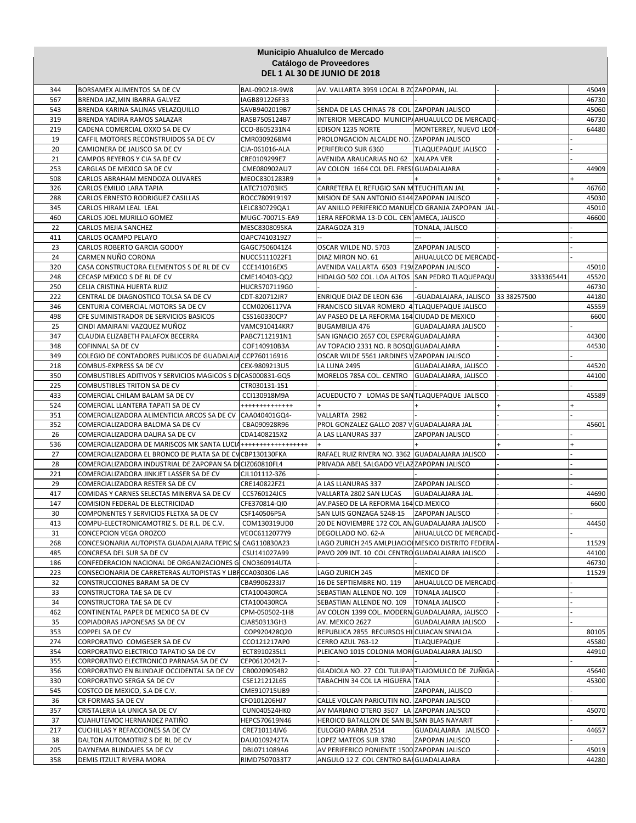| Catálogo de Proveedores<br><b>DEL 1 AL 30 DE JUNIO DE 2018</b><br>BAL-090218-9W8<br>AV. VALLARTA 3959 LOCAL B ZOZAPOPAN, JAL<br>344<br>BORSAMEX ALIMENTOS SA DE CV<br>45049<br>567<br>46730<br>BRENDA JAZ, MIN IBARRA GALVEZ<br>IAGB891226F33<br>543<br>SENDA DE LAS CHINAS 78 COL ZAPOPAN JALISCO<br>45060<br>BRENDA KARINA SALINAS VELAZQUILLO<br>SAVB9402019B7<br>INTERIOR MERCADO MUNICIP/AHUALULCO DE MERCADO<br>319<br>BRENDA YADIRA RAMOS SALAZAR<br>RASB7505124B7<br>46730<br>219<br>EDISON 1235 NORTE<br>MONTERREY, NUEVO LEO<br>64480<br>CADENA COMERCIAL OXXO SA DE CV<br>CCO-8605231N4<br>PROLONGACION ALCALDE NO. ZAPOPAN JALISCO<br>19<br>CAFFIL MOTORES RECONSTRUIDOS SA DE CV<br>CMR0309268M4<br>20<br>PERIFERICO SUR 6360<br>CAMIONERA DE JALISCO SA DE CV<br>CJA-061016-ALA<br><b>TLAQUEPAQUE JALISCO</b><br>21<br>CRE0109299E7<br>AVENIDA ARAUCARIAS NO 62 XALAPA VER<br>CAMPOS REYEROS Y CIA SA DE CV<br>253<br>CARGLAS DE MEXICO SA DE CV<br>CME080902AU7<br>AV COLON 1664 COL DEL FRESI GUADALAJARA<br>44909<br>508<br>MEOC8301283R9<br>CARLOS ABRAHAM MENDOZA OLIVARES<br>326<br>CARLOS EMILIO LARA TAPIA<br>LATC710703IK5<br>CARRETERA EL REFUGIO SAN MITEUCHITLAN JAL<br>46760<br>MISION DE SAN ANTONIO 6144 ZAPOPAN JALISCO<br>45030<br>288<br>CARLOS ERNESTO RODRIGUEZ CASILLAS<br>ROCC780919197<br>345<br>CARLOS HIRAM LEAL LEAL<br>LELC830729QA1<br>AV ANILLO PERIFERICO MANUE CD GRANJA ZAPOPAN JAL<br>45010<br>1ERA REFORMA 13-D COL. CEN AMECA, JALISCO<br>46600<br>460<br>CARLOS JOEL MURILLO GOMEZ<br>MUGC-700715-EA9<br>22<br>CARLOS MEJIA SANCHEZ<br>MESC830809SKA<br>ZARAGOZA 319<br>TONALA, JALISCO<br>411<br>CARLOS OCAMPO PELAYO<br>OAPC7410319Z7<br>23<br>CARLOS ROBERTO GARCIA GODOY<br>GAGC7506041Z4<br>OSCAR WILDE NO. 5703<br>ZAPOPAN JALISCO<br>CARMEN NUÑO CORONA<br>AHUALULCO DE MERCADO<br>24<br>NUCC5111022F1<br>DIAZ MIRON NO. 61<br>320<br>CASA CONSTRUCTORA ELEMENTOS S DE RL DE CV<br>AVENIDA VALLARTA 6503 F19/ZAPOPAN JALISCO<br>45010<br>CCE141016EX5<br>248<br>CECASP MEXICO S DE RL DE CV<br>HIDALGO 502 COL. LOA ALTOS SAN PEDRO TLAQUEPAQU<br>3333365441<br>45520<br>CME140403-QQ2<br>250<br>CELIA CRISTINA HUERTA RUIZ<br>HUCR5707119G0<br>46730<br>222<br>ENRIQUE DIAZ DE LEON 636<br>-GUADALAJARA, JALISCO 33 38257500<br>44180<br>CENTRAL DE DIAGNOSTICO TOLSA SA DE CV<br>CDT-820712JR7<br>346<br>CENTURIA COMERCIAL MOTORS SA DE CV<br>CCM0206117VA<br>FRANCISCO SILVAR ROMERO 4 TLAQUEPAQUE JALISCO<br>45559<br>6600<br>498<br>AV PASEO DE LA REFORMA 164 CIUDAD DE MEXICO<br>CFE SUMINISTRADOR DE SERVICIOS BASICOS<br>CSS160330CP7<br>25<br>CINDI AMAIRANI VAZQUEZ MUÑOZ<br>VAMC910414KR7<br><b>BUGAMBILIA 476</b><br><b>GUADALAJARA JALISCO</b><br>CLAUDIA ELIZABETH PALAFOX BECERRA<br>SAN IGNACIO 2657 COL ESPERA GUADALAJARA<br>347<br>PABC7112191N1<br>44300<br>348<br>AV TOPACIO 2331 NO. R BOSQI GUADALAJARA<br>44530<br>COFINNAL SA DE CV<br>COF140910B3A<br>COLEGIO DE CONTADORES PUBLICOS DE GUADALAJA CCP760116916<br>OSCAR WILDE 5561 JARDINES V ZAPOPAN JALISCO<br>349<br>218<br>COMBUS-EXPRESS SA DE CV<br>CEX-9809213U5<br><b>LA LUNA 2495</b><br>GUADALAJARA, JALISCO<br>44520<br>MORELOS 785A COL. CENTRO<br>COMBUSTIBLES ADITIVOS Y SERVICIOS MAGICOS S DI CAS000831-GQ5<br>GUADALAJARA, JALISCO<br>350<br>44100<br>225<br>COMBUSTIBLES TRITON SA DE CV<br>CTR030131-151<br>433<br>CCI130918M9A<br>ACUEDUCTO 7 LOMAS DE SANTLAQUEPAQUE JALISCO<br>45589<br>COMERCIAL CHILAM BALAM SA DE CV<br>524<br>COMERCIAL LLANTERA TAPATI SA DE CV<br>+++++++++++++<br>$+$<br>$\ddot{}$<br>VALLARTA 2982<br>351<br>COMERCIALIZADORA ALIMENTICIA ARCOS SA DE CV<br>CAA040401GQ4-<br>352<br>COMERCIALIZADORA BALOMA SA DE CV<br>CBA090928R96<br>PROL GONZALEZ GALLO 2087 V GUADALAJARA JAL<br>45601<br>26<br>CDA1408215X2<br>A LAS LLANURAS 337<br>ZAPOPAN JALISCO<br>COMERCIALIZADORA DALIRA SA DE CV<br>536<br>COMERCIALIZADORA DE MARISCOS MK SANTA LUCIA +++++++++++++++++++<br>27<br>COMERCIALIZADORA EL BRONCO DE PLATA SA DE CV CBP130130FKA<br>RAFAEL RUIZ RIVERA NO. 3362 GUADALAJARA JALISCO<br>28<br>COMERCIALIZADORA INDUSTRIAL DE ZAPOPAN SA DI CIZ060810FL4<br>PRIVADA ABEL SALGADO VELAZ ZAPOPAN JALISCO<br>221<br>COMERCIALIZADORA JINKJET LASSER SA DE CV<br>CJL101112-3Z6<br>29<br>COMERCIALIZADORA RESTER SA DE CV<br>CRE140822FZ1<br>A LAS LLANURAS 337<br>ZAPOPAN JALISCO<br>COMIDAS Y CARNES SELECTAS MINERVA SA DE CV<br>CCS760124JC5<br>VALLARTA 2802 SAN LUCAS<br><b>GUADALAJARA JAL.</b><br>417<br>44690<br>147<br>AV.PASEO DE LA REFORMA 164 CD.MEXICO<br>6600<br>COMISION FEDERAL DE ELECTRICIDAD<br>CFE370814-QI0<br>30<br>COMPONENTES Y SERVICIOS FLETXA SA DE CV<br>CSF140506P5A<br>SAN LUIS GONZAGA 5248-15 ZAPOPAN JALISCO<br>COMPU-ELECTRONICAMOTRIZ S. DE R.L. DE C.V.<br>COM130319UD0<br>20 DE NOVIEMBRE 172 COL AN GUADALAJARA JALISCO<br>44450<br>413<br>31<br>AHUALULCO DE MERCADO<br>CONCEPCION VEGA OROZCO<br>VEOC6112077Y9<br>DEGOLLADO NO. 62-A<br>268<br>CONCESIONARIA AUTOPISTA GUADALAJARA TEPIC SA<br>CAG110830A23<br>LAGO ZURICH 245 AMLPLIACIOI MESICO DISTRITO FEDERA<br>11529<br>485<br>CONCRESA DEL SUR SA DE CV<br>CSU141027A99<br>PAVO 209 INT. 10 COL CENTRO GUADALAJARA JALISCO<br>44100<br>CONFEDERACION NACIONAL DE ORGANIZACIONES G<br>CNO360914UTA<br>46730<br>186<br>223<br>CONSECIONARIA DE CARRETERAS AUTOPISTAS Y LIBI CCA030306-LA6<br>LAGO ZURICH 245<br><b>MEXICO DF</b><br>11529<br>32<br>16 DE SEPTIEMBRE NO. 119<br>AHUALULCO DE MERCADO<br>CONSTRUCCIONES BARAM SA DE CV<br>CBA9906233J7<br>33<br>CONSTRUCTORA TAE SA DE CV<br>CTA100430RCA<br>SEBASTIAN ALLENDE NO. 109<br><b>TONALA JALISCO</b><br>34<br>CONSTRUCTORA TAE SA DE CV<br>SEBASTIAN ALLENDE NO. 109<br><b>TONALA JALISCO</b><br>CTA100430RCA<br>CONTINENTAL PAPER DE MEXICO SA DE CV<br>CPM-050502-1H8<br>AV COLON 1399 COL. MODERNI GUADALAJARA, JALISCO<br>462<br>35<br>COPIADORAS JAPONESAS SA DE CV<br>CJA850313GH3<br>AV. MEXICO 2627<br>GUADALAJARA JALISCO<br>353<br>COPPEL SA DE CV<br>REPUBLICA 2855 RECURSOS HI CUIACAN SINALOA<br>80105<br>COP920428Q20<br>274<br>CORPORATIVO COMGESER SA DE CV<br>CERRO AZUL 763-12<br>TLAQUEPAQUE<br>45580<br>CCO121217AP0<br>44910<br>354<br>CORPORATIVO ELECTRICO TAPATIO SA DE CV<br>PLEICANO 1015 COLONIA MORI GUADALAJARA JALISO<br>ECT8910235L1<br>355<br>CORPORATIVO ELECTRONICO PARNASA SA DE CV<br>CEP0612042L7-<br>356<br>CORPORATIVO EN BLINDAJE OCCIDENTAL SA DE CV<br>CB00209054B2<br>GLADIOLA NO. 27 COL TULIPANTLAJOMULCO DE ZUÑIGA<br>45640<br>330<br>CORPORATIVO SERGA SA DE CV<br>TABACHIN 34 COL LA HIGUERA TALA<br>45300<br>CSE121212L65<br>545<br>COSTCO DE MEXICO, S.A DE C.V.<br>CME910715UB9<br>ZAPOPAN, JALISCO<br>36<br>CR FORMAS SA DE CV<br>CFO101206HJ7<br>CALLE VOLCAN PARICUTIN NO. ZAPOPAN JALISCO<br>357<br>AV MARIANO OTERO 3507 LA ZAPOPAN JALISCO<br>45070<br>CRISTALERIA LA UNICA SA DE CV<br>CUN040524HK0<br>37<br>CUAHUTEMOC HERNANDEZ PATIÑO<br>HEPC570619N46<br>HEROICO BATALLON DE SAN BL SAN BLAS NAYARIT<br>217<br>CUCHILLAS Y REFACCIONES SA DE CV<br>CRE710114JV6<br>EULOGIO PARRA 2514<br>44657<br>GUADALAJARA JALISCO<br>38<br>DALTON AUTOMOTRIZ S DE RL DE CV<br>DAU0109242TA<br>LOPEZ MATEOS SUR 3780<br>ZAPOPAN JALISCO<br>205<br>AV PERIFERICO PONIENTE 1500 ZAPOPAN JALISCO<br>DAYNEMA BLINDAJES SA DE CV<br>DBL0711089A6<br>45019<br>358<br>DEMIS ITZULT RIVERA MORA<br>RIMD7507033T7<br>ANGULO 12 Z COL CENTRO BAI GUADALAJARA<br>44280 |  | Municipio Ahualulco de Mercado |  |  |
|-------------------------------------------------------------------------------------------------------------------------------------------------------------------------------------------------------------------------------------------------------------------------------------------------------------------------------------------------------------------------------------------------------------------------------------------------------------------------------------------------------------------------------------------------------------------------------------------------------------------------------------------------------------------------------------------------------------------------------------------------------------------------------------------------------------------------------------------------------------------------------------------------------------------------------------------------------------------------------------------------------------------------------------------------------------------------------------------------------------------------------------------------------------------------------------------------------------------------------------------------------------------------------------------------------------------------------------------------------------------------------------------------------------------------------------------------------------------------------------------------------------------------------------------------------------------------------------------------------------------------------------------------------------------------------------------------------------------------------------------------------------------------------------------------------------------------------------------------------------------------------------------------------------------------------------------------------------------------------------------------------------------------------------------------------------------------------------------------------------------------------------------------------------------------------------------------------------------------------------------------------------------------------------------------------------------------------------------------------------------------------------------------------------------------------------------------------------------------------------------------------------------------------------------------------------------------------------------------------------------------------------------------------------------------------------------------------------------------------------------------------------------------------------------------------------------------------------------------------------------------------------------------------------------------------------------------------------------------------------------------------------------------------------------------------------------------------------------------------------------------------------------------------------------------------------------------------------------------------------------------------------------------------------------------------------------------------------------------------------------------------------------------------------------------------------------------------------------------------------------------------------------------------------------------------------------------------------------------------------------------------------------------------------------------------------------------------------------------------------------------------------------------------------------------------------------------------------------------------------------------------------------------------------------------------------------------------------------------------------------------------------------------------------------------------------------------------------------------------------------------------------------------------------------------------------------------------------------------------------------------------------------------------------------------------------------------------------------------------------------------------------------------------------------------------------------------------------------------------------------------------------------------------------------------------------------------------------------------------------------------------------------------------------------------------------------------------------------------------------------------------------------------------------------------------------------------------------------------------------------------------------------------------------------------------------------------------------------------------------------------------------------------------------------------------------------------------------------------------------------------------------------------------------------------------------------------------------------------------------------------------------------------------------------------------------------------------------------------------------------------------------------------------------------------------------------------------------------------------------------------------------------------------------------------------------------------------------------------------------------------------------------------------------------------------------------------------------------------------------------------------------------------------------------------------------------------------------------------------------------------------------------------------------------------------------------------------------------------------------------------------------------------------------------------------------------------------------------------------------------------------------------------------------------------------------------------------------------------------------------------------------------------------------------------------------------------------------------------------------------------------------------------------------------------------------------------------------------------------------------------------------------------------------------------------------------------------------------------------------------------------------------------------------------------------------------------------------------------------------------------------------------------------------------------------------------------------------------------------------------------------------------------------------------------------------------------------------------------------------------------------------------------------------------------------------------------------------------------------------------------------------------------------------------------------------------------------------------------------------------------------------------------------------------------------------------------------------------------------------------------------------------------------------------------------------------------------------|--|--------------------------------|--|--|
|                                                                                                                                                                                                                                                                                                                                                                                                                                                                                                                                                                                                                                                                                                                                                                                                                                                                                                                                                                                                                                                                                                                                                                                                                                                                                                                                                                                                                                                                                                                                                                                                                                                                                                                                                                                                                                                                                                                                                                                                                                                                                                                                                                                                                                                                                                                                                                                                                                                                                                                                                                                                                                                                                                                                                                                                                                                                                                                                                                                                                                                                                                                                                                                                                                                                                                                                                                                                                                                                                                                                                                                                                                                                                                                                                                                                                                                                                                                                                                                                                                                                                                                                                                                                                                                                                                                                                                                                                                                                                                                                                                                                                                                                                                                                                                                                                                                                                                                                                                                                                                                                                                                                                                                                                                                                                                                                                                                                                                                                                                                                                                                                                                                                                                                                                                                                                                                                                                                                                                                                                                                                                                                                                                                                                                                                                                                                                                                                                                                                                                                                                                                                                                                                                                                                                                                                                                                                                                                                                                                                                                                                                                                                                                                                                                                                                                                                                                                                                                                             |  |                                |  |  |
|                                                                                                                                                                                                                                                                                                                                                                                                                                                                                                                                                                                                                                                                                                                                                                                                                                                                                                                                                                                                                                                                                                                                                                                                                                                                                                                                                                                                                                                                                                                                                                                                                                                                                                                                                                                                                                                                                                                                                                                                                                                                                                                                                                                                                                                                                                                                                                                                                                                                                                                                                                                                                                                                                                                                                                                                                                                                                                                                                                                                                                                                                                                                                                                                                                                                                                                                                                                                                                                                                                                                                                                                                                                                                                                                                                                                                                                                                                                                                                                                                                                                                                                                                                                                                                                                                                                                                                                                                                                                                                                                                                                                                                                                                                                                                                                                                                                                                                                                                                                                                                                                                                                                                                                                                                                                                                                                                                                                                                                                                                                                                                                                                                                                                                                                                                                                                                                                                                                                                                                                                                                                                                                                                                                                                                                                                                                                                                                                                                                                                                                                                                                                                                                                                                                                                                                                                                                                                                                                                                                                                                                                                                                                                                                                                                                                                                                                                                                                                                                             |  |                                |  |  |
|                                                                                                                                                                                                                                                                                                                                                                                                                                                                                                                                                                                                                                                                                                                                                                                                                                                                                                                                                                                                                                                                                                                                                                                                                                                                                                                                                                                                                                                                                                                                                                                                                                                                                                                                                                                                                                                                                                                                                                                                                                                                                                                                                                                                                                                                                                                                                                                                                                                                                                                                                                                                                                                                                                                                                                                                                                                                                                                                                                                                                                                                                                                                                                                                                                                                                                                                                                                                                                                                                                                                                                                                                                                                                                                                                                                                                                                                                                                                                                                                                                                                                                                                                                                                                                                                                                                                                                                                                                                                                                                                                                                                                                                                                                                                                                                                                                                                                                                                                                                                                                                                                                                                                                                                                                                                                                                                                                                                                                                                                                                                                                                                                                                                                                                                                                                                                                                                                                                                                                                                                                                                                                                                                                                                                                                                                                                                                                                                                                                                                                                                                                                                                                                                                                                                                                                                                                                                                                                                                                                                                                                                                                                                                                                                                                                                                                                                                                                                                                                             |  |                                |  |  |
|                                                                                                                                                                                                                                                                                                                                                                                                                                                                                                                                                                                                                                                                                                                                                                                                                                                                                                                                                                                                                                                                                                                                                                                                                                                                                                                                                                                                                                                                                                                                                                                                                                                                                                                                                                                                                                                                                                                                                                                                                                                                                                                                                                                                                                                                                                                                                                                                                                                                                                                                                                                                                                                                                                                                                                                                                                                                                                                                                                                                                                                                                                                                                                                                                                                                                                                                                                                                                                                                                                                                                                                                                                                                                                                                                                                                                                                                                                                                                                                                                                                                                                                                                                                                                                                                                                                                                                                                                                                                                                                                                                                                                                                                                                                                                                                                                                                                                                                                                                                                                                                                                                                                                                                                                                                                                                                                                                                                                                                                                                                                                                                                                                                                                                                                                                                                                                                                                                                                                                                                                                                                                                                                                                                                                                                                                                                                                                                                                                                                                                                                                                                                                                                                                                                                                                                                                                                                                                                                                                                                                                                                                                                                                                                                                                                                                                                                                                                                                                                             |  |                                |  |  |
|                                                                                                                                                                                                                                                                                                                                                                                                                                                                                                                                                                                                                                                                                                                                                                                                                                                                                                                                                                                                                                                                                                                                                                                                                                                                                                                                                                                                                                                                                                                                                                                                                                                                                                                                                                                                                                                                                                                                                                                                                                                                                                                                                                                                                                                                                                                                                                                                                                                                                                                                                                                                                                                                                                                                                                                                                                                                                                                                                                                                                                                                                                                                                                                                                                                                                                                                                                                                                                                                                                                                                                                                                                                                                                                                                                                                                                                                                                                                                                                                                                                                                                                                                                                                                                                                                                                                                                                                                                                                                                                                                                                                                                                                                                                                                                                                                                                                                                                                                                                                                                                                                                                                                                                                                                                                                                                                                                                                                                                                                                                                                                                                                                                                                                                                                                                                                                                                                                                                                                                                                                                                                                                                                                                                                                                                                                                                                                                                                                                                                                                                                                                                                                                                                                                                                                                                                                                                                                                                                                                                                                                                                                                                                                                                                                                                                                                                                                                                                                                             |  |                                |  |  |
|                                                                                                                                                                                                                                                                                                                                                                                                                                                                                                                                                                                                                                                                                                                                                                                                                                                                                                                                                                                                                                                                                                                                                                                                                                                                                                                                                                                                                                                                                                                                                                                                                                                                                                                                                                                                                                                                                                                                                                                                                                                                                                                                                                                                                                                                                                                                                                                                                                                                                                                                                                                                                                                                                                                                                                                                                                                                                                                                                                                                                                                                                                                                                                                                                                                                                                                                                                                                                                                                                                                                                                                                                                                                                                                                                                                                                                                                                                                                                                                                                                                                                                                                                                                                                                                                                                                                                                                                                                                                                                                                                                                                                                                                                                                                                                                                                                                                                                                                                                                                                                                                                                                                                                                                                                                                                                                                                                                                                                                                                                                                                                                                                                                                                                                                                                                                                                                                                                                                                                                                                                                                                                                                                                                                                                                                                                                                                                                                                                                                                                                                                                                                                                                                                                                                                                                                                                                                                                                                                                                                                                                                                                                                                                                                                                                                                                                                                                                                                                                             |  |                                |  |  |
|                                                                                                                                                                                                                                                                                                                                                                                                                                                                                                                                                                                                                                                                                                                                                                                                                                                                                                                                                                                                                                                                                                                                                                                                                                                                                                                                                                                                                                                                                                                                                                                                                                                                                                                                                                                                                                                                                                                                                                                                                                                                                                                                                                                                                                                                                                                                                                                                                                                                                                                                                                                                                                                                                                                                                                                                                                                                                                                                                                                                                                                                                                                                                                                                                                                                                                                                                                                                                                                                                                                                                                                                                                                                                                                                                                                                                                                                                                                                                                                                                                                                                                                                                                                                                                                                                                                                                                                                                                                                                                                                                                                                                                                                                                                                                                                                                                                                                                                                                                                                                                                                                                                                                                                                                                                                                                                                                                                                                                                                                                                                                                                                                                                                                                                                                                                                                                                                                                                                                                                                                                                                                                                                                                                                                                                                                                                                                                                                                                                                                                                                                                                                                                                                                                                                                                                                                                                                                                                                                                                                                                                                                                                                                                                                                                                                                                                                                                                                                                                             |  |                                |  |  |
|                                                                                                                                                                                                                                                                                                                                                                                                                                                                                                                                                                                                                                                                                                                                                                                                                                                                                                                                                                                                                                                                                                                                                                                                                                                                                                                                                                                                                                                                                                                                                                                                                                                                                                                                                                                                                                                                                                                                                                                                                                                                                                                                                                                                                                                                                                                                                                                                                                                                                                                                                                                                                                                                                                                                                                                                                                                                                                                                                                                                                                                                                                                                                                                                                                                                                                                                                                                                                                                                                                                                                                                                                                                                                                                                                                                                                                                                                                                                                                                                                                                                                                                                                                                                                                                                                                                                                                                                                                                                                                                                                                                                                                                                                                                                                                                                                                                                                                                                                                                                                                                                                                                                                                                                                                                                                                                                                                                                                                                                                                                                                                                                                                                                                                                                                                                                                                                                                                                                                                                                                                                                                                                                                                                                                                                                                                                                                                                                                                                                                                                                                                                                                                                                                                                                                                                                                                                                                                                                                                                                                                                                                                                                                                                                                                                                                                                                                                                                                                                             |  |                                |  |  |
|                                                                                                                                                                                                                                                                                                                                                                                                                                                                                                                                                                                                                                                                                                                                                                                                                                                                                                                                                                                                                                                                                                                                                                                                                                                                                                                                                                                                                                                                                                                                                                                                                                                                                                                                                                                                                                                                                                                                                                                                                                                                                                                                                                                                                                                                                                                                                                                                                                                                                                                                                                                                                                                                                                                                                                                                                                                                                                                                                                                                                                                                                                                                                                                                                                                                                                                                                                                                                                                                                                                                                                                                                                                                                                                                                                                                                                                                                                                                                                                                                                                                                                                                                                                                                                                                                                                                                                                                                                                                                                                                                                                                                                                                                                                                                                                                                                                                                                                                                                                                                                                                                                                                                                                                                                                                                                                                                                                                                                                                                                                                                                                                                                                                                                                                                                                                                                                                                                                                                                                                                                                                                                                                                                                                                                                                                                                                                                                                                                                                                                                                                                                                                                                                                                                                                                                                                                                                                                                                                                                                                                                                                                                                                                                                                                                                                                                                                                                                                                                             |  |                                |  |  |
|                                                                                                                                                                                                                                                                                                                                                                                                                                                                                                                                                                                                                                                                                                                                                                                                                                                                                                                                                                                                                                                                                                                                                                                                                                                                                                                                                                                                                                                                                                                                                                                                                                                                                                                                                                                                                                                                                                                                                                                                                                                                                                                                                                                                                                                                                                                                                                                                                                                                                                                                                                                                                                                                                                                                                                                                                                                                                                                                                                                                                                                                                                                                                                                                                                                                                                                                                                                                                                                                                                                                                                                                                                                                                                                                                                                                                                                                                                                                                                                                                                                                                                                                                                                                                                                                                                                                                                                                                                                                                                                                                                                                                                                                                                                                                                                                                                                                                                                                                                                                                                                                                                                                                                                                                                                                                                                                                                                                                                                                                                                                                                                                                                                                                                                                                                                                                                                                                                                                                                                                                                                                                                                                                                                                                                                                                                                                                                                                                                                                                                                                                                                                                                                                                                                                                                                                                                                                                                                                                                                                                                                                                                                                                                                                                                                                                                                                                                                                                                                             |  |                                |  |  |
|                                                                                                                                                                                                                                                                                                                                                                                                                                                                                                                                                                                                                                                                                                                                                                                                                                                                                                                                                                                                                                                                                                                                                                                                                                                                                                                                                                                                                                                                                                                                                                                                                                                                                                                                                                                                                                                                                                                                                                                                                                                                                                                                                                                                                                                                                                                                                                                                                                                                                                                                                                                                                                                                                                                                                                                                                                                                                                                                                                                                                                                                                                                                                                                                                                                                                                                                                                                                                                                                                                                                                                                                                                                                                                                                                                                                                                                                                                                                                                                                                                                                                                                                                                                                                                                                                                                                                                                                                                                                                                                                                                                                                                                                                                                                                                                                                                                                                                                                                                                                                                                                                                                                                                                                                                                                                                                                                                                                                                                                                                                                                                                                                                                                                                                                                                                                                                                                                                                                                                                                                                                                                                                                                                                                                                                                                                                                                                                                                                                                                                                                                                                                                                                                                                                                                                                                                                                                                                                                                                                                                                                                                                                                                                                                                                                                                                                                                                                                                                                             |  |                                |  |  |
|                                                                                                                                                                                                                                                                                                                                                                                                                                                                                                                                                                                                                                                                                                                                                                                                                                                                                                                                                                                                                                                                                                                                                                                                                                                                                                                                                                                                                                                                                                                                                                                                                                                                                                                                                                                                                                                                                                                                                                                                                                                                                                                                                                                                                                                                                                                                                                                                                                                                                                                                                                                                                                                                                                                                                                                                                                                                                                                                                                                                                                                                                                                                                                                                                                                                                                                                                                                                                                                                                                                                                                                                                                                                                                                                                                                                                                                                                                                                                                                                                                                                                                                                                                                                                                                                                                                                                                                                                                                                                                                                                                                                                                                                                                                                                                                                                                                                                                                                                                                                                                                                                                                                                                                                                                                                                                                                                                                                                                                                                                                                                                                                                                                                                                                                                                                                                                                                                                                                                                                                                                                                                                                                                                                                                                                                                                                                                                                                                                                                                                                                                                                                                                                                                                                                                                                                                                                                                                                                                                                                                                                                                                                                                                                                                                                                                                                                                                                                                                                             |  |                                |  |  |
|                                                                                                                                                                                                                                                                                                                                                                                                                                                                                                                                                                                                                                                                                                                                                                                                                                                                                                                                                                                                                                                                                                                                                                                                                                                                                                                                                                                                                                                                                                                                                                                                                                                                                                                                                                                                                                                                                                                                                                                                                                                                                                                                                                                                                                                                                                                                                                                                                                                                                                                                                                                                                                                                                                                                                                                                                                                                                                                                                                                                                                                                                                                                                                                                                                                                                                                                                                                                                                                                                                                                                                                                                                                                                                                                                                                                                                                                                                                                                                                                                                                                                                                                                                                                                                                                                                                                                                                                                                                                                                                                                                                                                                                                                                                                                                                                                                                                                                                                                                                                                                                                                                                                                                                                                                                                                                                                                                                                                                                                                                                                                                                                                                                                                                                                                                                                                                                                                                                                                                                                                                                                                                                                                                                                                                                                                                                                                                                                                                                                                                                                                                                                                                                                                                                                                                                                                                                                                                                                                                                                                                                                                                                                                                                                                                                                                                                                                                                                                                                             |  |                                |  |  |
|                                                                                                                                                                                                                                                                                                                                                                                                                                                                                                                                                                                                                                                                                                                                                                                                                                                                                                                                                                                                                                                                                                                                                                                                                                                                                                                                                                                                                                                                                                                                                                                                                                                                                                                                                                                                                                                                                                                                                                                                                                                                                                                                                                                                                                                                                                                                                                                                                                                                                                                                                                                                                                                                                                                                                                                                                                                                                                                                                                                                                                                                                                                                                                                                                                                                                                                                                                                                                                                                                                                                                                                                                                                                                                                                                                                                                                                                                                                                                                                                                                                                                                                                                                                                                                                                                                                                                                                                                                                                                                                                                                                                                                                                                                                                                                                                                                                                                                                                                                                                                                                                                                                                                                                                                                                                                                                                                                                                                                                                                                                                                                                                                                                                                                                                                                                                                                                                                                                                                                                                                                                                                                                                                                                                                                                                                                                                                                                                                                                                                                                                                                                                                                                                                                                                                                                                                                                                                                                                                                                                                                                                                                                                                                                                                                                                                                                                                                                                                                                             |  |                                |  |  |
|                                                                                                                                                                                                                                                                                                                                                                                                                                                                                                                                                                                                                                                                                                                                                                                                                                                                                                                                                                                                                                                                                                                                                                                                                                                                                                                                                                                                                                                                                                                                                                                                                                                                                                                                                                                                                                                                                                                                                                                                                                                                                                                                                                                                                                                                                                                                                                                                                                                                                                                                                                                                                                                                                                                                                                                                                                                                                                                                                                                                                                                                                                                                                                                                                                                                                                                                                                                                                                                                                                                                                                                                                                                                                                                                                                                                                                                                                                                                                                                                                                                                                                                                                                                                                                                                                                                                                                                                                                                                                                                                                                                                                                                                                                                                                                                                                                                                                                                                                                                                                                                                                                                                                                                                                                                                                                                                                                                                                                                                                                                                                                                                                                                                                                                                                                                                                                                                                                                                                                                                                                                                                                                                                                                                                                                                                                                                                                                                                                                                                                                                                                                                                                                                                                                                                                                                                                                                                                                                                                                                                                                                                                                                                                                                                                                                                                                                                                                                                                                             |  |                                |  |  |
|                                                                                                                                                                                                                                                                                                                                                                                                                                                                                                                                                                                                                                                                                                                                                                                                                                                                                                                                                                                                                                                                                                                                                                                                                                                                                                                                                                                                                                                                                                                                                                                                                                                                                                                                                                                                                                                                                                                                                                                                                                                                                                                                                                                                                                                                                                                                                                                                                                                                                                                                                                                                                                                                                                                                                                                                                                                                                                                                                                                                                                                                                                                                                                                                                                                                                                                                                                                                                                                                                                                                                                                                                                                                                                                                                                                                                                                                                                                                                                                                                                                                                                                                                                                                                                                                                                                                                                                                                                                                                                                                                                                                                                                                                                                                                                                                                                                                                                                                                                                                                                                                                                                                                                                                                                                                                                                                                                                                                                                                                                                                                                                                                                                                                                                                                                                                                                                                                                                                                                                                                                                                                                                                                                                                                                                                                                                                                                                                                                                                                                                                                                                                                                                                                                                                                                                                                                                                                                                                                                                                                                                                                                                                                                                                                                                                                                                                                                                                                                                             |  |                                |  |  |
|                                                                                                                                                                                                                                                                                                                                                                                                                                                                                                                                                                                                                                                                                                                                                                                                                                                                                                                                                                                                                                                                                                                                                                                                                                                                                                                                                                                                                                                                                                                                                                                                                                                                                                                                                                                                                                                                                                                                                                                                                                                                                                                                                                                                                                                                                                                                                                                                                                                                                                                                                                                                                                                                                                                                                                                                                                                                                                                                                                                                                                                                                                                                                                                                                                                                                                                                                                                                                                                                                                                                                                                                                                                                                                                                                                                                                                                                                                                                                                                                                                                                                                                                                                                                                                                                                                                                                                                                                                                                                                                                                                                                                                                                                                                                                                                                                                                                                                                                                                                                                                                                                                                                                                                                                                                                                                                                                                                                                                                                                                                                                                                                                                                                                                                                                                                                                                                                                                                                                                                                                                                                                                                                                                                                                                                                                                                                                                                                                                                                                                                                                                                                                                                                                                                                                                                                                                                                                                                                                                                                                                                                                                                                                                                                                                                                                                                                                                                                                                                             |  |                                |  |  |
|                                                                                                                                                                                                                                                                                                                                                                                                                                                                                                                                                                                                                                                                                                                                                                                                                                                                                                                                                                                                                                                                                                                                                                                                                                                                                                                                                                                                                                                                                                                                                                                                                                                                                                                                                                                                                                                                                                                                                                                                                                                                                                                                                                                                                                                                                                                                                                                                                                                                                                                                                                                                                                                                                                                                                                                                                                                                                                                                                                                                                                                                                                                                                                                                                                                                                                                                                                                                                                                                                                                                                                                                                                                                                                                                                                                                                                                                                                                                                                                                                                                                                                                                                                                                                                                                                                                                                                                                                                                                                                                                                                                                                                                                                                                                                                                                                                                                                                                                                                                                                                                                                                                                                                                                                                                                                                                                                                                                                                                                                                                                                                                                                                                                                                                                                                                                                                                                                                                                                                                                                                                                                                                                                                                                                                                                                                                                                                                                                                                                                                                                                                                                                                                                                                                                                                                                                                                                                                                                                                                                                                                                                                                                                                                                                                                                                                                                                                                                                                                             |  |                                |  |  |
|                                                                                                                                                                                                                                                                                                                                                                                                                                                                                                                                                                                                                                                                                                                                                                                                                                                                                                                                                                                                                                                                                                                                                                                                                                                                                                                                                                                                                                                                                                                                                                                                                                                                                                                                                                                                                                                                                                                                                                                                                                                                                                                                                                                                                                                                                                                                                                                                                                                                                                                                                                                                                                                                                                                                                                                                                                                                                                                                                                                                                                                                                                                                                                                                                                                                                                                                                                                                                                                                                                                                                                                                                                                                                                                                                                                                                                                                                                                                                                                                                                                                                                                                                                                                                                                                                                                                                                                                                                                                                                                                                                                                                                                                                                                                                                                                                                                                                                                                                                                                                                                                                                                                                                                                                                                                                                                                                                                                                                                                                                                                                                                                                                                                                                                                                                                                                                                                                                                                                                                                                                                                                                                                                                                                                                                                                                                                                                                                                                                                                                                                                                                                                                                                                                                                                                                                                                                                                                                                                                                                                                                                                                                                                                                                                                                                                                                                                                                                                                                             |  |                                |  |  |
|                                                                                                                                                                                                                                                                                                                                                                                                                                                                                                                                                                                                                                                                                                                                                                                                                                                                                                                                                                                                                                                                                                                                                                                                                                                                                                                                                                                                                                                                                                                                                                                                                                                                                                                                                                                                                                                                                                                                                                                                                                                                                                                                                                                                                                                                                                                                                                                                                                                                                                                                                                                                                                                                                                                                                                                                                                                                                                                                                                                                                                                                                                                                                                                                                                                                                                                                                                                                                                                                                                                                                                                                                                                                                                                                                                                                                                                                                                                                                                                                                                                                                                                                                                                                                                                                                                                                                                                                                                                                                                                                                                                                                                                                                                                                                                                                                                                                                                                                                                                                                                                                                                                                                                                                                                                                                                                                                                                                                                                                                                                                                                                                                                                                                                                                                                                                                                                                                                                                                                                                                                                                                                                                                                                                                                                                                                                                                                                                                                                                                                                                                                                                                                                                                                                                                                                                                                                                                                                                                                                                                                                                                                                                                                                                                                                                                                                                                                                                                                                             |  |                                |  |  |
|                                                                                                                                                                                                                                                                                                                                                                                                                                                                                                                                                                                                                                                                                                                                                                                                                                                                                                                                                                                                                                                                                                                                                                                                                                                                                                                                                                                                                                                                                                                                                                                                                                                                                                                                                                                                                                                                                                                                                                                                                                                                                                                                                                                                                                                                                                                                                                                                                                                                                                                                                                                                                                                                                                                                                                                                                                                                                                                                                                                                                                                                                                                                                                                                                                                                                                                                                                                                                                                                                                                                                                                                                                                                                                                                                                                                                                                                                                                                                                                                                                                                                                                                                                                                                                                                                                                                                                                                                                                                                                                                                                                                                                                                                                                                                                                                                                                                                                                                                                                                                                                                                                                                                                                                                                                                                                                                                                                                                                                                                                                                                                                                                                                                                                                                                                                                                                                                                                                                                                                                                                                                                                                                                                                                                                                                                                                                                                                                                                                                                                                                                                                                                                                                                                                                                                                                                                                                                                                                                                                                                                                                                                                                                                                                                                                                                                                                                                                                                                                             |  |                                |  |  |
|                                                                                                                                                                                                                                                                                                                                                                                                                                                                                                                                                                                                                                                                                                                                                                                                                                                                                                                                                                                                                                                                                                                                                                                                                                                                                                                                                                                                                                                                                                                                                                                                                                                                                                                                                                                                                                                                                                                                                                                                                                                                                                                                                                                                                                                                                                                                                                                                                                                                                                                                                                                                                                                                                                                                                                                                                                                                                                                                                                                                                                                                                                                                                                                                                                                                                                                                                                                                                                                                                                                                                                                                                                                                                                                                                                                                                                                                                                                                                                                                                                                                                                                                                                                                                                                                                                                                                                                                                                                                                                                                                                                                                                                                                                                                                                                                                                                                                                                                                                                                                                                                                                                                                                                                                                                                                                                                                                                                                                                                                                                                                                                                                                                                                                                                                                                                                                                                                                                                                                                                                                                                                                                                                                                                                                                                                                                                                                                                                                                                                                                                                                                                                                                                                                                                                                                                                                                                                                                                                                                                                                                                                                                                                                                                                                                                                                                                                                                                                                                             |  |                                |  |  |
|                                                                                                                                                                                                                                                                                                                                                                                                                                                                                                                                                                                                                                                                                                                                                                                                                                                                                                                                                                                                                                                                                                                                                                                                                                                                                                                                                                                                                                                                                                                                                                                                                                                                                                                                                                                                                                                                                                                                                                                                                                                                                                                                                                                                                                                                                                                                                                                                                                                                                                                                                                                                                                                                                                                                                                                                                                                                                                                                                                                                                                                                                                                                                                                                                                                                                                                                                                                                                                                                                                                                                                                                                                                                                                                                                                                                                                                                                                                                                                                                                                                                                                                                                                                                                                                                                                                                                                                                                                                                                                                                                                                                                                                                                                                                                                                                                                                                                                                                                                                                                                                                                                                                                                                                                                                                                                                                                                                                                                                                                                                                                                                                                                                                                                                                                                                                                                                                                                                                                                                                                                                                                                                                                                                                                                                                                                                                                                                                                                                                                                                                                                                                                                                                                                                                                                                                                                                                                                                                                                                                                                                                                                                                                                                                                                                                                                                                                                                                                                                             |  |                                |  |  |
|                                                                                                                                                                                                                                                                                                                                                                                                                                                                                                                                                                                                                                                                                                                                                                                                                                                                                                                                                                                                                                                                                                                                                                                                                                                                                                                                                                                                                                                                                                                                                                                                                                                                                                                                                                                                                                                                                                                                                                                                                                                                                                                                                                                                                                                                                                                                                                                                                                                                                                                                                                                                                                                                                                                                                                                                                                                                                                                                                                                                                                                                                                                                                                                                                                                                                                                                                                                                                                                                                                                                                                                                                                                                                                                                                                                                                                                                                                                                                                                                                                                                                                                                                                                                                                                                                                                                                                                                                                                                                                                                                                                                                                                                                                                                                                                                                                                                                                                                                                                                                                                                                                                                                                                                                                                                                                                                                                                                                                                                                                                                                                                                                                                                                                                                                                                                                                                                                                                                                                                                                                                                                                                                                                                                                                                                                                                                                                                                                                                                                                                                                                                                                                                                                                                                                                                                                                                                                                                                                                                                                                                                                                                                                                                                                                                                                                                                                                                                                                                             |  |                                |  |  |
|                                                                                                                                                                                                                                                                                                                                                                                                                                                                                                                                                                                                                                                                                                                                                                                                                                                                                                                                                                                                                                                                                                                                                                                                                                                                                                                                                                                                                                                                                                                                                                                                                                                                                                                                                                                                                                                                                                                                                                                                                                                                                                                                                                                                                                                                                                                                                                                                                                                                                                                                                                                                                                                                                                                                                                                                                                                                                                                                                                                                                                                                                                                                                                                                                                                                                                                                                                                                                                                                                                                                                                                                                                                                                                                                                                                                                                                                                                                                                                                                                                                                                                                                                                                                                                                                                                                                                                                                                                                                                                                                                                                                                                                                                                                                                                                                                                                                                                                                                                                                                                                                                                                                                                                                                                                                                                                                                                                                                                                                                                                                                                                                                                                                                                                                                                                                                                                                                                                                                                                                                                                                                                                                                                                                                                                                                                                                                                                                                                                                                                                                                                                                                                                                                                                                                                                                                                                                                                                                                                                                                                                                                                                                                                                                                                                                                                                                                                                                                                                             |  |                                |  |  |
|                                                                                                                                                                                                                                                                                                                                                                                                                                                                                                                                                                                                                                                                                                                                                                                                                                                                                                                                                                                                                                                                                                                                                                                                                                                                                                                                                                                                                                                                                                                                                                                                                                                                                                                                                                                                                                                                                                                                                                                                                                                                                                                                                                                                                                                                                                                                                                                                                                                                                                                                                                                                                                                                                                                                                                                                                                                                                                                                                                                                                                                                                                                                                                                                                                                                                                                                                                                                                                                                                                                                                                                                                                                                                                                                                                                                                                                                                                                                                                                                                                                                                                                                                                                                                                                                                                                                                                                                                                                                                                                                                                                                                                                                                                                                                                                                                                                                                                                                                                                                                                                                                                                                                                                                                                                                                                                                                                                                                                                                                                                                                                                                                                                                                                                                                                                                                                                                                                                                                                                                                                                                                                                                                                                                                                                                                                                                                                                                                                                                                                                                                                                                                                                                                                                                                                                                                                                                                                                                                                                                                                                                                                                                                                                                                                                                                                                                                                                                                                                             |  |                                |  |  |
|                                                                                                                                                                                                                                                                                                                                                                                                                                                                                                                                                                                                                                                                                                                                                                                                                                                                                                                                                                                                                                                                                                                                                                                                                                                                                                                                                                                                                                                                                                                                                                                                                                                                                                                                                                                                                                                                                                                                                                                                                                                                                                                                                                                                                                                                                                                                                                                                                                                                                                                                                                                                                                                                                                                                                                                                                                                                                                                                                                                                                                                                                                                                                                                                                                                                                                                                                                                                                                                                                                                                                                                                                                                                                                                                                                                                                                                                                                                                                                                                                                                                                                                                                                                                                                                                                                                                                                                                                                                                                                                                                                                                                                                                                                                                                                                                                                                                                                                                                                                                                                                                                                                                                                                                                                                                                                                                                                                                                                                                                                                                                                                                                                                                                                                                                                                                                                                                                                                                                                                                                                                                                                                                                                                                                                                                                                                                                                                                                                                                                                                                                                                                                                                                                                                                                                                                                                                                                                                                                                                                                                                                                                                                                                                                                                                                                                                                                                                                                                                             |  |                                |  |  |
|                                                                                                                                                                                                                                                                                                                                                                                                                                                                                                                                                                                                                                                                                                                                                                                                                                                                                                                                                                                                                                                                                                                                                                                                                                                                                                                                                                                                                                                                                                                                                                                                                                                                                                                                                                                                                                                                                                                                                                                                                                                                                                                                                                                                                                                                                                                                                                                                                                                                                                                                                                                                                                                                                                                                                                                                                                                                                                                                                                                                                                                                                                                                                                                                                                                                                                                                                                                                                                                                                                                                                                                                                                                                                                                                                                                                                                                                                                                                                                                                                                                                                                                                                                                                                                                                                                                                                                                                                                                                                                                                                                                                                                                                                                                                                                                                                                                                                                                                                                                                                                                                                                                                                                                                                                                                                                                                                                                                                                                                                                                                                                                                                                                                                                                                                                                                                                                                                                                                                                                                                                                                                                                                                                                                                                                                                                                                                                                                                                                                                                                                                                                                                                                                                                                                                                                                                                                                                                                                                                                                                                                                                                                                                                                                                                                                                                                                                                                                                                                             |  |                                |  |  |
|                                                                                                                                                                                                                                                                                                                                                                                                                                                                                                                                                                                                                                                                                                                                                                                                                                                                                                                                                                                                                                                                                                                                                                                                                                                                                                                                                                                                                                                                                                                                                                                                                                                                                                                                                                                                                                                                                                                                                                                                                                                                                                                                                                                                                                                                                                                                                                                                                                                                                                                                                                                                                                                                                                                                                                                                                                                                                                                                                                                                                                                                                                                                                                                                                                                                                                                                                                                                                                                                                                                                                                                                                                                                                                                                                                                                                                                                                                                                                                                                                                                                                                                                                                                                                                                                                                                                                                                                                                                                                                                                                                                                                                                                                                                                                                                                                                                                                                                                                                                                                                                                                                                                                                                                                                                                                                                                                                                                                                                                                                                                                                                                                                                                                                                                                                                                                                                                                                                                                                                                                                                                                                                                                                                                                                                                                                                                                                                                                                                                                                                                                                                                                                                                                                                                                                                                                                                                                                                                                                                                                                                                                                                                                                                                                                                                                                                                                                                                                                                             |  |                                |  |  |
|                                                                                                                                                                                                                                                                                                                                                                                                                                                                                                                                                                                                                                                                                                                                                                                                                                                                                                                                                                                                                                                                                                                                                                                                                                                                                                                                                                                                                                                                                                                                                                                                                                                                                                                                                                                                                                                                                                                                                                                                                                                                                                                                                                                                                                                                                                                                                                                                                                                                                                                                                                                                                                                                                                                                                                                                                                                                                                                                                                                                                                                                                                                                                                                                                                                                                                                                                                                                                                                                                                                                                                                                                                                                                                                                                                                                                                                                                                                                                                                                                                                                                                                                                                                                                                                                                                                                                                                                                                                                                                                                                                                                                                                                                                                                                                                                                                                                                                                                                                                                                                                                                                                                                                                                                                                                                                                                                                                                                                                                                                                                                                                                                                                                                                                                                                                                                                                                                                                                                                                                                                                                                                                                                                                                                                                                                                                                                                                                                                                                                                                                                                                                                                                                                                                                                                                                                                                                                                                                                                                                                                                                                                                                                                                                                                                                                                                                                                                                                                                             |  |                                |  |  |
|                                                                                                                                                                                                                                                                                                                                                                                                                                                                                                                                                                                                                                                                                                                                                                                                                                                                                                                                                                                                                                                                                                                                                                                                                                                                                                                                                                                                                                                                                                                                                                                                                                                                                                                                                                                                                                                                                                                                                                                                                                                                                                                                                                                                                                                                                                                                                                                                                                                                                                                                                                                                                                                                                                                                                                                                                                                                                                                                                                                                                                                                                                                                                                                                                                                                                                                                                                                                                                                                                                                                                                                                                                                                                                                                                                                                                                                                                                                                                                                                                                                                                                                                                                                                                                                                                                                                                                                                                                                                                                                                                                                                                                                                                                                                                                                                                                                                                                                                                                                                                                                                                                                                                                                                                                                                                                                                                                                                                                                                                                                                                                                                                                                                                                                                                                                                                                                                                                                                                                                                                                                                                                                                                                                                                                                                                                                                                                                                                                                                                                                                                                                                                                                                                                                                                                                                                                                                                                                                                                                                                                                                                                                                                                                                                                                                                                                                                                                                                                                             |  |                                |  |  |
|                                                                                                                                                                                                                                                                                                                                                                                                                                                                                                                                                                                                                                                                                                                                                                                                                                                                                                                                                                                                                                                                                                                                                                                                                                                                                                                                                                                                                                                                                                                                                                                                                                                                                                                                                                                                                                                                                                                                                                                                                                                                                                                                                                                                                                                                                                                                                                                                                                                                                                                                                                                                                                                                                                                                                                                                                                                                                                                                                                                                                                                                                                                                                                                                                                                                                                                                                                                                                                                                                                                                                                                                                                                                                                                                                                                                                                                                                                                                                                                                                                                                                                                                                                                                                                                                                                                                                                                                                                                                                                                                                                                                                                                                                                                                                                                                                                                                                                                                                                                                                                                                                                                                                                                                                                                                                                                                                                                                                                                                                                                                                                                                                                                                                                                                                                                                                                                                                                                                                                                                                                                                                                                                                                                                                                                                                                                                                                                                                                                                                                                                                                                                                                                                                                                                                                                                                                                                                                                                                                                                                                                                                                                                                                                                                                                                                                                                                                                                                                                             |  |                                |  |  |
|                                                                                                                                                                                                                                                                                                                                                                                                                                                                                                                                                                                                                                                                                                                                                                                                                                                                                                                                                                                                                                                                                                                                                                                                                                                                                                                                                                                                                                                                                                                                                                                                                                                                                                                                                                                                                                                                                                                                                                                                                                                                                                                                                                                                                                                                                                                                                                                                                                                                                                                                                                                                                                                                                                                                                                                                                                                                                                                                                                                                                                                                                                                                                                                                                                                                                                                                                                                                                                                                                                                                                                                                                                                                                                                                                                                                                                                                                                                                                                                                                                                                                                                                                                                                                                                                                                                                                                                                                                                                                                                                                                                                                                                                                                                                                                                                                                                                                                                                                                                                                                                                                                                                                                                                                                                                                                                                                                                                                                                                                                                                                                                                                                                                                                                                                                                                                                                                                                                                                                                                                                                                                                                                                                                                                                                                                                                                                                                                                                                                                                                                                                                                                                                                                                                                                                                                                                                                                                                                                                                                                                                                                                                                                                                                                                                                                                                                                                                                                                                             |  |                                |  |  |
|                                                                                                                                                                                                                                                                                                                                                                                                                                                                                                                                                                                                                                                                                                                                                                                                                                                                                                                                                                                                                                                                                                                                                                                                                                                                                                                                                                                                                                                                                                                                                                                                                                                                                                                                                                                                                                                                                                                                                                                                                                                                                                                                                                                                                                                                                                                                                                                                                                                                                                                                                                                                                                                                                                                                                                                                                                                                                                                                                                                                                                                                                                                                                                                                                                                                                                                                                                                                                                                                                                                                                                                                                                                                                                                                                                                                                                                                                                                                                                                                                                                                                                                                                                                                                                                                                                                                                                                                                                                                                                                                                                                                                                                                                                                                                                                                                                                                                                                                                                                                                                                                                                                                                                                                                                                                                                                                                                                                                                                                                                                                                                                                                                                                                                                                                                                                                                                                                                                                                                                                                                                                                                                                                                                                                                                                                                                                                                                                                                                                                                                                                                                                                                                                                                                                                                                                                                                                                                                                                                                                                                                                                                                                                                                                                                                                                                                                                                                                                                                             |  |                                |  |  |
|                                                                                                                                                                                                                                                                                                                                                                                                                                                                                                                                                                                                                                                                                                                                                                                                                                                                                                                                                                                                                                                                                                                                                                                                                                                                                                                                                                                                                                                                                                                                                                                                                                                                                                                                                                                                                                                                                                                                                                                                                                                                                                                                                                                                                                                                                                                                                                                                                                                                                                                                                                                                                                                                                                                                                                                                                                                                                                                                                                                                                                                                                                                                                                                                                                                                                                                                                                                                                                                                                                                                                                                                                                                                                                                                                                                                                                                                                                                                                                                                                                                                                                                                                                                                                                                                                                                                                                                                                                                                                                                                                                                                                                                                                                                                                                                                                                                                                                                                                                                                                                                                                                                                                                                                                                                                                                                                                                                                                                                                                                                                                                                                                                                                                                                                                                                                                                                                                                                                                                                                                                                                                                                                                                                                                                                                                                                                                                                                                                                                                                                                                                                                                                                                                                                                                                                                                                                                                                                                                                                                                                                                                                                                                                                                                                                                                                                                                                                                                                                             |  |                                |  |  |
|                                                                                                                                                                                                                                                                                                                                                                                                                                                                                                                                                                                                                                                                                                                                                                                                                                                                                                                                                                                                                                                                                                                                                                                                                                                                                                                                                                                                                                                                                                                                                                                                                                                                                                                                                                                                                                                                                                                                                                                                                                                                                                                                                                                                                                                                                                                                                                                                                                                                                                                                                                                                                                                                                                                                                                                                                                                                                                                                                                                                                                                                                                                                                                                                                                                                                                                                                                                                                                                                                                                                                                                                                                                                                                                                                                                                                                                                                                                                                                                                                                                                                                                                                                                                                                                                                                                                                                                                                                                                                                                                                                                                                                                                                                                                                                                                                                                                                                                                                                                                                                                                                                                                                                                                                                                                                                                                                                                                                                                                                                                                                                                                                                                                                                                                                                                                                                                                                                                                                                                                                                                                                                                                                                                                                                                                                                                                                                                                                                                                                                                                                                                                                                                                                                                                                                                                                                                                                                                                                                                                                                                                                                                                                                                                                                                                                                                                                                                                                                                             |  |                                |  |  |
|                                                                                                                                                                                                                                                                                                                                                                                                                                                                                                                                                                                                                                                                                                                                                                                                                                                                                                                                                                                                                                                                                                                                                                                                                                                                                                                                                                                                                                                                                                                                                                                                                                                                                                                                                                                                                                                                                                                                                                                                                                                                                                                                                                                                                                                                                                                                                                                                                                                                                                                                                                                                                                                                                                                                                                                                                                                                                                                                                                                                                                                                                                                                                                                                                                                                                                                                                                                                                                                                                                                                                                                                                                                                                                                                                                                                                                                                                                                                                                                                                                                                                                                                                                                                                                                                                                                                                                                                                                                                                                                                                                                                                                                                                                                                                                                                                                                                                                                                                                                                                                                                                                                                                                                                                                                                                                                                                                                                                                                                                                                                                                                                                                                                                                                                                                                                                                                                                                                                                                                                                                                                                                                                                                                                                                                                                                                                                                                                                                                                                                                                                                                                                                                                                                                                                                                                                                                                                                                                                                                                                                                                                                                                                                                                                                                                                                                                                                                                                                                             |  |                                |  |  |
|                                                                                                                                                                                                                                                                                                                                                                                                                                                                                                                                                                                                                                                                                                                                                                                                                                                                                                                                                                                                                                                                                                                                                                                                                                                                                                                                                                                                                                                                                                                                                                                                                                                                                                                                                                                                                                                                                                                                                                                                                                                                                                                                                                                                                                                                                                                                                                                                                                                                                                                                                                                                                                                                                                                                                                                                                                                                                                                                                                                                                                                                                                                                                                                                                                                                                                                                                                                                                                                                                                                                                                                                                                                                                                                                                                                                                                                                                                                                                                                                                                                                                                                                                                                                                                                                                                                                                                                                                                                                                                                                                                                                                                                                                                                                                                                                                                                                                                                                                                                                                                                                                                                                                                                                                                                                                                                                                                                                                                                                                                                                                                                                                                                                                                                                                                                                                                                                                                                                                                                                                                                                                                                                                                                                                                                                                                                                                                                                                                                                                                                                                                                                                                                                                                                                                                                                                                                                                                                                                                                                                                                                                                                                                                                                                                                                                                                                                                                                                                                             |  |                                |  |  |
|                                                                                                                                                                                                                                                                                                                                                                                                                                                                                                                                                                                                                                                                                                                                                                                                                                                                                                                                                                                                                                                                                                                                                                                                                                                                                                                                                                                                                                                                                                                                                                                                                                                                                                                                                                                                                                                                                                                                                                                                                                                                                                                                                                                                                                                                                                                                                                                                                                                                                                                                                                                                                                                                                                                                                                                                                                                                                                                                                                                                                                                                                                                                                                                                                                                                                                                                                                                                                                                                                                                                                                                                                                                                                                                                                                                                                                                                                                                                                                                                                                                                                                                                                                                                                                                                                                                                                                                                                                                                                                                                                                                                                                                                                                                                                                                                                                                                                                                                                                                                                                                                                                                                                                                                                                                                                                                                                                                                                                                                                                                                                                                                                                                                                                                                                                                                                                                                                                                                                                                                                                                                                                                                                                                                                                                                                                                                                                                                                                                                                                                                                                                                                                                                                                                                                                                                                                                                                                                                                                                                                                                                                                                                                                                                                                                                                                                                                                                                                                                             |  |                                |  |  |
|                                                                                                                                                                                                                                                                                                                                                                                                                                                                                                                                                                                                                                                                                                                                                                                                                                                                                                                                                                                                                                                                                                                                                                                                                                                                                                                                                                                                                                                                                                                                                                                                                                                                                                                                                                                                                                                                                                                                                                                                                                                                                                                                                                                                                                                                                                                                                                                                                                                                                                                                                                                                                                                                                                                                                                                                                                                                                                                                                                                                                                                                                                                                                                                                                                                                                                                                                                                                                                                                                                                                                                                                                                                                                                                                                                                                                                                                                                                                                                                                                                                                                                                                                                                                                                                                                                                                                                                                                                                                                                                                                                                                                                                                                                                                                                                                                                                                                                                                                                                                                                                                                                                                                                                                                                                                                                                                                                                                                                                                                                                                                                                                                                                                                                                                                                                                                                                                                                                                                                                                                                                                                                                                                                                                                                                                                                                                                                                                                                                                                                                                                                                                                                                                                                                                                                                                                                                                                                                                                                                                                                                                                                                                                                                                                                                                                                                                                                                                                                                             |  |                                |  |  |
|                                                                                                                                                                                                                                                                                                                                                                                                                                                                                                                                                                                                                                                                                                                                                                                                                                                                                                                                                                                                                                                                                                                                                                                                                                                                                                                                                                                                                                                                                                                                                                                                                                                                                                                                                                                                                                                                                                                                                                                                                                                                                                                                                                                                                                                                                                                                                                                                                                                                                                                                                                                                                                                                                                                                                                                                                                                                                                                                                                                                                                                                                                                                                                                                                                                                                                                                                                                                                                                                                                                                                                                                                                                                                                                                                                                                                                                                                                                                                                                                                                                                                                                                                                                                                                                                                                                                                                                                                                                                                                                                                                                                                                                                                                                                                                                                                                                                                                                                                                                                                                                                                                                                                                                                                                                                                                                                                                                                                                                                                                                                                                                                                                                                                                                                                                                                                                                                                                                                                                                                                                                                                                                                                                                                                                                                                                                                                                                                                                                                                                                                                                                                                                                                                                                                                                                                                                                                                                                                                                                                                                                                                                                                                                                                                                                                                                                                                                                                                                                             |  |                                |  |  |
|                                                                                                                                                                                                                                                                                                                                                                                                                                                                                                                                                                                                                                                                                                                                                                                                                                                                                                                                                                                                                                                                                                                                                                                                                                                                                                                                                                                                                                                                                                                                                                                                                                                                                                                                                                                                                                                                                                                                                                                                                                                                                                                                                                                                                                                                                                                                                                                                                                                                                                                                                                                                                                                                                                                                                                                                                                                                                                                                                                                                                                                                                                                                                                                                                                                                                                                                                                                                                                                                                                                                                                                                                                                                                                                                                                                                                                                                                                                                                                                                                                                                                                                                                                                                                                                                                                                                                                                                                                                                                                                                                                                                                                                                                                                                                                                                                                                                                                                                                                                                                                                                                                                                                                                                                                                                                                                                                                                                                                                                                                                                                                                                                                                                                                                                                                                                                                                                                                                                                                                                                                                                                                                                                                                                                                                                                                                                                                                                                                                                                                                                                                                                                                                                                                                                                                                                                                                                                                                                                                                                                                                                                                                                                                                                                                                                                                                                                                                                                                                             |  |                                |  |  |
|                                                                                                                                                                                                                                                                                                                                                                                                                                                                                                                                                                                                                                                                                                                                                                                                                                                                                                                                                                                                                                                                                                                                                                                                                                                                                                                                                                                                                                                                                                                                                                                                                                                                                                                                                                                                                                                                                                                                                                                                                                                                                                                                                                                                                                                                                                                                                                                                                                                                                                                                                                                                                                                                                                                                                                                                                                                                                                                                                                                                                                                                                                                                                                                                                                                                                                                                                                                                                                                                                                                                                                                                                                                                                                                                                                                                                                                                                                                                                                                                                                                                                                                                                                                                                                                                                                                                                                                                                                                                                                                                                                                                                                                                                                                                                                                                                                                                                                                                                                                                                                                                                                                                                                                                                                                                                                                                                                                                                                                                                                                                                                                                                                                                                                                                                                                                                                                                                                                                                                                                                                                                                                                                                                                                                                                                                                                                                                                                                                                                                                                                                                                                                                                                                                                                                                                                                                                                                                                                                                                                                                                                                                                                                                                                                                                                                                                                                                                                                                                             |  |                                |  |  |
|                                                                                                                                                                                                                                                                                                                                                                                                                                                                                                                                                                                                                                                                                                                                                                                                                                                                                                                                                                                                                                                                                                                                                                                                                                                                                                                                                                                                                                                                                                                                                                                                                                                                                                                                                                                                                                                                                                                                                                                                                                                                                                                                                                                                                                                                                                                                                                                                                                                                                                                                                                                                                                                                                                                                                                                                                                                                                                                                                                                                                                                                                                                                                                                                                                                                                                                                                                                                                                                                                                                                                                                                                                                                                                                                                                                                                                                                                                                                                                                                                                                                                                                                                                                                                                                                                                                                                                                                                                                                                                                                                                                                                                                                                                                                                                                                                                                                                                                                                                                                                                                                                                                                                                                                                                                                                                                                                                                                                                                                                                                                                                                                                                                                                                                                                                                                                                                                                                                                                                                                                                                                                                                                                                                                                                                                                                                                                                                                                                                                                                                                                                                                                                                                                                                                                                                                                                                                                                                                                                                                                                                                                                                                                                                                                                                                                                                                                                                                                                                             |  |                                |  |  |
|                                                                                                                                                                                                                                                                                                                                                                                                                                                                                                                                                                                                                                                                                                                                                                                                                                                                                                                                                                                                                                                                                                                                                                                                                                                                                                                                                                                                                                                                                                                                                                                                                                                                                                                                                                                                                                                                                                                                                                                                                                                                                                                                                                                                                                                                                                                                                                                                                                                                                                                                                                                                                                                                                                                                                                                                                                                                                                                                                                                                                                                                                                                                                                                                                                                                                                                                                                                                                                                                                                                                                                                                                                                                                                                                                                                                                                                                                                                                                                                                                                                                                                                                                                                                                                                                                                                                                                                                                                                                                                                                                                                                                                                                                                                                                                                                                                                                                                                                                                                                                                                                                                                                                                                                                                                                                                                                                                                                                                                                                                                                                                                                                                                                                                                                                                                                                                                                                                                                                                                                                                                                                                                                                                                                                                                                                                                                                                                                                                                                                                                                                                                                                                                                                                                                                                                                                                                                                                                                                                                                                                                                                                                                                                                                                                                                                                                                                                                                                                                             |  |                                |  |  |
|                                                                                                                                                                                                                                                                                                                                                                                                                                                                                                                                                                                                                                                                                                                                                                                                                                                                                                                                                                                                                                                                                                                                                                                                                                                                                                                                                                                                                                                                                                                                                                                                                                                                                                                                                                                                                                                                                                                                                                                                                                                                                                                                                                                                                                                                                                                                                                                                                                                                                                                                                                                                                                                                                                                                                                                                                                                                                                                                                                                                                                                                                                                                                                                                                                                                                                                                                                                                                                                                                                                                                                                                                                                                                                                                                                                                                                                                                                                                                                                                                                                                                                                                                                                                                                                                                                                                                                                                                                                                                                                                                                                                                                                                                                                                                                                                                                                                                                                                                                                                                                                                                                                                                                                                                                                                                                                                                                                                                                                                                                                                                                                                                                                                                                                                                                                                                                                                                                                                                                                                                                                                                                                                                                                                                                                                                                                                                                                                                                                                                                                                                                                                                                                                                                                                                                                                                                                                                                                                                                                                                                                                                                                                                                                                                                                                                                                                                                                                                                                             |  |                                |  |  |
|                                                                                                                                                                                                                                                                                                                                                                                                                                                                                                                                                                                                                                                                                                                                                                                                                                                                                                                                                                                                                                                                                                                                                                                                                                                                                                                                                                                                                                                                                                                                                                                                                                                                                                                                                                                                                                                                                                                                                                                                                                                                                                                                                                                                                                                                                                                                                                                                                                                                                                                                                                                                                                                                                                                                                                                                                                                                                                                                                                                                                                                                                                                                                                                                                                                                                                                                                                                                                                                                                                                                                                                                                                                                                                                                                                                                                                                                                                                                                                                                                                                                                                                                                                                                                                                                                                                                                                                                                                                                                                                                                                                                                                                                                                                                                                                                                                                                                                                                                                                                                                                                                                                                                                                                                                                                                                                                                                                                                                                                                                                                                                                                                                                                                                                                                                                                                                                                                                                                                                                                                                                                                                                                                                                                                                                                                                                                                                                                                                                                                                                                                                                                                                                                                                                                                                                                                                                                                                                                                                                                                                                                                                                                                                                                                                                                                                                                                                                                                                                             |  |                                |  |  |
|                                                                                                                                                                                                                                                                                                                                                                                                                                                                                                                                                                                                                                                                                                                                                                                                                                                                                                                                                                                                                                                                                                                                                                                                                                                                                                                                                                                                                                                                                                                                                                                                                                                                                                                                                                                                                                                                                                                                                                                                                                                                                                                                                                                                                                                                                                                                                                                                                                                                                                                                                                                                                                                                                                                                                                                                                                                                                                                                                                                                                                                                                                                                                                                                                                                                                                                                                                                                                                                                                                                                                                                                                                                                                                                                                                                                                                                                                                                                                                                                                                                                                                                                                                                                                                                                                                                                                                                                                                                                                                                                                                                                                                                                                                                                                                                                                                                                                                                                                                                                                                                                                                                                                                                                                                                                                                                                                                                                                                                                                                                                                                                                                                                                                                                                                                                                                                                                                                                                                                                                                                                                                                                                                                                                                                                                                                                                                                                                                                                                                                                                                                                                                                                                                                                                                                                                                                                                                                                                                                                                                                                                                                                                                                                                                                                                                                                                                                                                                                                             |  |                                |  |  |
|                                                                                                                                                                                                                                                                                                                                                                                                                                                                                                                                                                                                                                                                                                                                                                                                                                                                                                                                                                                                                                                                                                                                                                                                                                                                                                                                                                                                                                                                                                                                                                                                                                                                                                                                                                                                                                                                                                                                                                                                                                                                                                                                                                                                                                                                                                                                                                                                                                                                                                                                                                                                                                                                                                                                                                                                                                                                                                                                                                                                                                                                                                                                                                                                                                                                                                                                                                                                                                                                                                                                                                                                                                                                                                                                                                                                                                                                                                                                                                                                                                                                                                                                                                                                                                                                                                                                                                                                                                                                                                                                                                                                                                                                                                                                                                                                                                                                                                                                                                                                                                                                                                                                                                                                                                                                                                                                                                                                                                                                                                                                                                                                                                                                                                                                                                                                                                                                                                                                                                                                                                                                                                                                                                                                                                                                                                                                                                                                                                                                                                                                                                                                                                                                                                                                                                                                                                                                                                                                                                                                                                                                                                                                                                                                                                                                                                                                                                                                                                                             |  |                                |  |  |
|                                                                                                                                                                                                                                                                                                                                                                                                                                                                                                                                                                                                                                                                                                                                                                                                                                                                                                                                                                                                                                                                                                                                                                                                                                                                                                                                                                                                                                                                                                                                                                                                                                                                                                                                                                                                                                                                                                                                                                                                                                                                                                                                                                                                                                                                                                                                                                                                                                                                                                                                                                                                                                                                                                                                                                                                                                                                                                                                                                                                                                                                                                                                                                                                                                                                                                                                                                                                                                                                                                                                                                                                                                                                                                                                                                                                                                                                                                                                                                                                                                                                                                                                                                                                                                                                                                                                                                                                                                                                                                                                                                                                                                                                                                                                                                                                                                                                                                                                                                                                                                                                                                                                                                                                                                                                                                                                                                                                                                                                                                                                                                                                                                                                                                                                                                                                                                                                                                                                                                                                                                                                                                                                                                                                                                                                                                                                                                                                                                                                                                                                                                                                                                                                                                                                                                                                                                                                                                                                                                                                                                                                                                                                                                                                                                                                                                                                                                                                                                                             |  |                                |  |  |
|                                                                                                                                                                                                                                                                                                                                                                                                                                                                                                                                                                                                                                                                                                                                                                                                                                                                                                                                                                                                                                                                                                                                                                                                                                                                                                                                                                                                                                                                                                                                                                                                                                                                                                                                                                                                                                                                                                                                                                                                                                                                                                                                                                                                                                                                                                                                                                                                                                                                                                                                                                                                                                                                                                                                                                                                                                                                                                                                                                                                                                                                                                                                                                                                                                                                                                                                                                                                                                                                                                                                                                                                                                                                                                                                                                                                                                                                                                                                                                                                                                                                                                                                                                                                                                                                                                                                                                                                                                                                                                                                                                                                                                                                                                                                                                                                                                                                                                                                                                                                                                                                                                                                                                                                                                                                                                                                                                                                                                                                                                                                                                                                                                                                                                                                                                                                                                                                                                                                                                                                                                                                                                                                                                                                                                                                                                                                                                                                                                                                                                                                                                                                                                                                                                                                                                                                                                                                                                                                                                                                                                                                                                                                                                                                                                                                                                                                                                                                                                                             |  |                                |  |  |
|                                                                                                                                                                                                                                                                                                                                                                                                                                                                                                                                                                                                                                                                                                                                                                                                                                                                                                                                                                                                                                                                                                                                                                                                                                                                                                                                                                                                                                                                                                                                                                                                                                                                                                                                                                                                                                                                                                                                                                                                                                                                                                                                                                                                                                                                                                                                                                                                                                                                                                                                                                                                                                                                                                                                                                                                                                                                                                                                                                                                                                                                                                                                                                                                                                                                                                                                                                                                                                                                                                                                                                                                                                                                                                                                                                                                                                                                                                                                                                                                                                                                                                                                                                                                                                                                                                                                                                                                                                                                                                                                                                                                                                                                                                                                                                                                                                                                                                                                                                                                                                                                                                                                                                                                                                                                                                                                                                                                                                                                                                                                                                                                                                                                                                                                                                                                                                                                                                                                                                                                                                                                                                                                                                                                                                                                                                                                                                                                                                                                                                                                                                                                                                                                                                                                                                                                                                                                                                                                                                                                                                                                                                                                                                                                                                                                                                                                                                                                                                                             |  |                                |  |  |
|                                                                                                                                                                                                                                                                                                                                                                                                                                                                                                                                                                                                                                                                                                                                                                                                                                                                                                                                                                                                                                                                                                                                                                                                                                                                                                                                                                                                                                                                                                                                                                                                                                                                                                                                                                                                                                                                                                                                                                                                                                                                                                                                                                                                                                                                                                                                                                                                                                                                                                                                                                                                                                                                                                                                                                                                                                                                                                                                                                                                                                                                                                                                                                                                                                                                                                                                                                                                                                                                                                                                                                                                                                                                                                                                                                                                                                                                                                                                                                                                                                                                                                                                                                                                                                                                                                                                                                                                                                                                                                                                                                                                                                                                                                                                                                                                                                                                                                                                                                                                                                                                                                                                                                                                                                                                                                                                                                                                                                                                                                                                                                                                                                                                                                                                                                                                                                                                                                                                                                                                                                                                                                                                                                                                                                                                                                                                                                                                                                                                                                                                                                                                                                                                                                                                                                                                                                                                                                                                                                                                                                                                                                                                                                                                                                                                                                                                                                                                                                                             |  |                                |  |  |
|                                                                                                                                                                                                                                                                                                                                                                                                                                                                                                                                                                                                                                                                                                                                                                                                                                                                                                                                                                                                                                                                                                                                                                                                                                                                                                                                                                                                                                                                                                                                                                                                                                                                                                                                                                                                                                                                                                                                                                                                                                                                                                                                                                                                                                                                                                                                                                                                                                                                                                                                                                                                                                                                                                                                                                                                                                                                                                                                                                                                                                                                                                                                                                                                                                                                                                                                                                                                                                                                                                                                                                                                                                                                                                                                                                                                                                                                                                                                                                                                                                                                                                                                                                                                                                                                                                                                                                                                                                                                                                                                                                                                                                                                                                                                                                                                                                                                                                                                                                                                                                                                                                                                                                                                                                                                                                                                                                                                                                                                                                                                                                                                                                                                                                                                                                                                                                                                                                                                                                                                                                                                                                                                                                                                                                                                                                                                                                                                                                                                                                                                                                                                                                                                                                                                                                                                                                                                                                                                                                                                                                                                                                                                                                                                                                                                                                                                                                                                                                                             |  |                                |  |  |
|                                                                                                                                                                                                                                                                                                                                                                                                                                                                                                                                                                                                                                                                                                                                                                                                                                                                                                                                                                                                                                                                                                                                                                                                                                                                                                                                                                                                                                                                                                                                                                                                                                                                                                                                                                                                                                                                                                                                                                                                                                                                                                                                                                                                                                                                                                                                                                                                                                                                                                                                                                                                                                                                                                                                                                                                                                                                                                                                                                                                                                                                                                                                                                                                                                                                                                                                                                                                                                                                                                                                                                                                                                                                                                                                                                                                                                                                                                                                                                                                                                                                                                                                                                                                                                                                                                                                                                                                                                                                                                                                                                                                                                                                                                                                                                                                                                                                                                                                                                                                                                                                                                                                                                                                                                                                                                                                                                                                                                                                                                                                                                                                                                                                                                                                                                                                                                                                                                                                                                                                                                                                                                                                                                                                                                                                                                                                                                                                                                                                                                                                                                                                                                                                                                                                                                                                                                                                                                                                                                                                                                                                                                                                                                                                                                                                                                                                                                                                                                                             |  |                                |  |  |
|                                                                                                                                                                                                                                                                                                                                                                                                                                                                                                                                                                                                                                                                                                                                                                                                                                                                                                                                                                                                                                                                                                                                                                                                                                                                                                                                                                                                                                                                                                                                                                                                                                                                                                                                                                                                                                                                                                                                                                                                                                                                                                                                                                                                                                                                                                                                                                                                                                                                                                                                                                                                                                                                                                                                                                                                                                                                                                                                                                                                                                                                                                                                                                                                                                                                                                                                                                                                                                                                                                                                                                                                                                                                                                                                                                                                                                                                                                                                                                                                                                                                                                                                                                                                                                                                                                                                                                                                                                                                                                                                                                                                                                                                                                                                                                                                                                                                                                                                                                                                                                                                                                                                                                                                                                                                                                                                                                                                                                                                                                                                                                                                                                                                                                                                                                                                                                                                                                                                                                                                                                                                                                                                                                                                                                                                                                                                                                                                                                                                                                                                                                                                                                                                                                                                                                                                                                                                                                                                                                                                                                                                                                                                                                                                                                                                                                                                                                                                                                                             |  |                                |  |  |
|                                                                                                                                                                                                                                                                                                                                                                                                                                                                                                                                                                                                                                                                                                                                                                                                                                                                                                                                                                                                                                                                                                                                                                                                                                                                                                                                                                                                                                                                                                                                                                                                                                                                                                                                                                                                                                                                                                                                                                                                                                                                                                                                                                                                                                                                                                                                                                                                                                                                                                                                                                                                                                                                                                                                                                                                                                                                                                                                                                                                                                                                                                                                                                                                                                                                                                                                                                                                                                                                                                                                                                                                                                                                                                                                                                                                                                                                                                                                                                                                                                                                                                                                                                                                                                                                                                                                                                                                                                                                                                                                                                                                                                                                                                                                                                                                                                                                                                                                                                                                                                                                                                                                                                                                                                                                                                                                                                                                                                                                                                                                                                                                                                                                                                                                                                                                                                                                                                                                                                                                                                                                                                                                                                                                                                                                                                                                                                                                                                                                                                                                                                                                                                                                                                                                                                                                                                                                                                                                                                                                                                                                                                                                                                                                                                                                                                                                                                                                                                                             |  |                                |  |  |
|                                                                                                                                                                                                                                                                                                                                                                                                                                                                                                                                                                                                                                                                                                                                                                                                                                                                                                                                                                                                                                                                                                                                                                                                                                                                                                                                                                                                                                                                                                                                                                                                                                                                                                                                                                                                                                                                                                                                                                                                                                                                                                                                                                                                                                                                                                                                                                                                                                                                                                                                                                                                                                                                                                                                                                                                                                                                                                                                                                                                                                                                                                                                                                                                                                                                                                                                                                                                                                                                                                                                                                                                                                                                                                                                                                                                                                                                                                                                                                                                                                                                                                                                                                                                                                                                                                                                                                                                                                                                                                                                                                                                                                                                                                                                                                                                                                                                                                                                                                                                                                                                                                                                                                                                                                                                                                                                                                                                                                                                                                                                                                                                                                                                                                                                                                                                                                                                                                                                                                                                                                                                                                                                                                                                                                                                                                                                                                                                                                                                                                                                                                                                                                                                                                                                                                                                                                                                                                                                                                                                                                                                                                                                                                                                                                                                                                                                                                                                                                                             |  |                                |  |  |
|                                                                                                                                                                                                                                                                                                                                                                                                                                                                                                                                                                                                                                                                                                                                                                                                                                                                                                                                                                                                                                                                                                                                                                                                                                                                                                                                                                                                                                                                                                                                                                                                                                                                                                                                                                                                                                                                                                                                                                                                                                                                                                                                                                                                                                                                                                                                                                                                                                                                                                                                                                                                                                                                                                                                                                                                                                                                                                                                                                                                                                                                                                                                                                                                                                                                                                                                                                                                                                                                                                                                                                                                                                                                                                                                                                                                                                                                                                                                                                                                                                                                                                                                                                                                                                                                                                                                                                                                                                                                                                                                                                                                                                                                                                                                                                                                                                                                                                                                                                                                                                                                                                                                                                                                                                                                                                                                                                                                                                                                                                                                                                                                                                                                                                                                                                                                                                                                                                                                                                                                                                                                                                                                                                                                                                                                                                                                                                                                                                                                                                                                                                                                                                                                                                                                                                                                                                                                                                                                                                                                                                                                                                                                                                                                                                                                                                                                                                                                                                                             |  |                                |  |  |
|                                                                                                                                                                                                                                                                                                                                                                                                                                                                                                                                                                                                                                                                                                                                                                                                                                                                                                                                                                                                                                                                                                                                                                                                                                                                                                                                                                                                                                                                                                                                                                                                                                                                                                                                                                                                                                                                                                                                                                                                                                                                                                                                                                                                                                                                                                                                                                                                                                                                                                                                                                                                                                                                                                                                                                                                                                                                                                                                                                                                                                                                                                                                                                                                                                                                                                                                                                                                                                                                                                                                                                                                                                                                                                                                                                                                                                                                                                                                                                                                                                                                                                                                                                                                                                                                                                                                                                                                                                                                                                                                                                                                                                                                                                                                                                                                                                                                                                                                                                                                                                                                                                                                                                                                                                                                                                                                                                                                                                                                                                                                                                                                                                                                                                                                                                                                                                                                                                                                                                                                                                                                                                                                                                                                                                                                                                                                                                                                                                                                                                                                                                                                                                                                                                                                                                                                                                                                                                                                                                                                                                                                                                                                                                                                                                                                                                                                                                                                                                                             |  |                                |  |  |
|                                                                                                                                                                                                                                                                                                                                                                                                                                                                                                                                                                                                                                                                                                                                                                                                                                                                                                                                                                                                                                                                                                                                                                                                                                                                                                                                                                                                                                                                                                                                                                                                                                                                                                                                                                                                                                                                                                                                                                                                                                                                                                                                                                                                                                                                                                                                                                                                                                                                                                                                                                                                                                                                                                                                                                                                                                                                                                                                                                                                                                                                                                                                                                                                                                                                                                                                                                                                                                                                                                                                                                                                                                                                                                                                                                                                                                                                                                                                                                                                                                                                                                                                                                                                                                                                                                                                                                                                                                                                                                                                                                                                                                                                                                                                                                                                                                                                                                                                                                                                                                                                                                                                                                                                                                                                                                                                                                                                                                                                                                                                                                                                                                                                                                                                                                                                                                                                                                                                                                                                                                                                                                                                                                                                                                                                                                                                                                                                                                                                                                                                                                                                                                                                                                                                                                                                                                                                                                                                                                                                                                                                                                                                                                                                                                                                                                                                                                                                                                                             |  |                                |  |  |
|                                                                                                                                                                                                                                                                                                                                                                                                                                                                                                                                                                                                                                                                                                                                                                                                                                                                                                                                                                                                                                                                                                                                                                                                                                                                                                                                                                                                                                                                                                                                                                                                                                                                                                                                                                                                                                                                                                                                                                                                                                                                                                                                                                                                                                                                                                                                                                                                                                                                                                                                                                                                                                                                                                                                                                                                                                                                                                                                                                                                                                                                                                                                                                                                                                                                                                                                                                                                                                                                                                                                                                                                                                                                                                                                                                                                                                                                                                                                                                                                                                                                                                                                                                                                                                                                                                                                                                                                                                                                                                                                                                                                                                                                                                                                                                                                                                                                                                                                                                                                                                                                                                                                                                                                                                                                                                                                                                                                                                                                                                                                                                                                                                                                                                                                                                                                                                                                                                                                                                                                                                                                                                                                                                                                                                                                                                                                                                                                                                                                                                                                                                                                                                                                                                                                                                                                                                                                                                                                                                                                                                                                                                                                                                                                                                                                                                                                                                                                                                                             |  |                                |  |  |
|                                                                                                                                                                                                                                                                                                                                                                                                                                                                                                                                                                                                                                                                                                                                                                                                                                                                                                                                                                                                                                                                                                                                                                                                                                                                                                                                                                                                                                                                                                                                                                                                                                                                                                                                                                                                                                                                                                                                                                                                                                                                                                                                                                                                                                                                                                                                                                                                                                                                                                                                                                                                                                                                                                                                                                                                                                                                                                                                                                                                                                                                                                                                                                                                                                                                                                                                                                                                                                                                                                                                                                                                                                                                                                                                                                                                                                                                                                                                                                                                                                                                                                                                                                                                                                                                                                                                                                                                                                                                                                                                                                                                                                                                                                                                                                                                                                                                                                                                                                                                                                                                                                                                                                                                                                                                                                                                                                                                                                                                                                                                                                                                                                                                                                                                                                                                                                                                                                                                                                                                                                                                                                                                                                                                                                                                                                                                                                                                                                                                                                                                                                                                                                                                                                                                                                                                                                                                                                                                                                                                                                                                                                                                                                                                                                                                                                                                                                                                                                                             |  |                                |  |  |
|                                                                                                                                                                                                                                                                                                                                                                                                                                                                                                                                                                                                                                                                                                                                                                                                                                                                                                                                                                                                                                                                                                                                                                                                                                                                                                                                                                                                                                                                                                                                                                                                                                                                                                                                                                                                                                                                                                                                                                                                                                                                                                                                                                                                                                                                                                                                                                                                                                                                                                                                                                                                                                                                                                                                                                                                                                                                                                                                                                                                                                                                                                                                                                                                                                                                                                                                                                                                                                                                                                                                                                                                                                                                                                                                                                                                                                                                                                                                                                                                                                                                                                                                                                                                                                                                                                                                                                                                                                                                                                                                                                                                                                                                                                                                                                                                                                                                                                                                                                                                                                                                                                                                                                                                                                                                                                                                                                                                                                                                                                                                                                                                                                                                                                                                                                                                                                                                                                                                                                                                                                                                                                                                                                                                                                                                                                                                                                                                                                                                                                                                                                                                                                                                                                                                                                                                                                                                                                                                                                                                                                                                                                                                                                                                                                                                                                                                                                                                                                                             |  |                                |  |  |
|                                                                                                                                                                                                                                                                                                                                                                                                                                                                                                                                                                                                                                                                                                                                                                                                                                                                                                                                                                                                                                                                                                                                                                                                                                                                                                                                                                                                                                                                                                                                                                                                                                                                                                                                                                                                                                                                                                                                                                                                                                                                                                                                                                                                                                                                                                                                                                                                                                                                                                                                                                                                                                                                                                                                                                                                                                                                                                                                                                                                                                                                                                                                                                                                                                                                                                                                                                                                                                                                                                                                                                                                                                                                                                                                                                                                                                                                                                                                                                                                                                                                                                                                                                                                                                                                                                                                                                                                                                                                                                                                                                                                                                                                                                                                                                                                                                                                                                                                                                                                                                                                                                                                                                                                                                                                                                                                                                                                                                                                                                                                                                                                                                                                                                                                                                                                                                                                                                                                                                                                                                                                                                                                                                                                                                                                                                                                                                                                                                                                                                                                                                                                                                                                                                                                                                                                                                                                                                                                                                                                                                                                                                                                                                                                                                                                                                                                                                                                                                                             |  |                                |  |  |
|                                                                                                                                                                                                                                                                                                                                                                                                                                                                                                                                                                                                                                                                                                                                                                                                                                                                                                                                                                                                                                                                                                                                                                                                                                                                                                                                                                                                                                                                                                                                                                                                                                                                                                                                                                                                                                                                                                                                                                                                                                                                                                                                                                                                                                                                                                                                                                                                                                                                                                                                                                                                                                                                                                                                                                                                                                                                                                                                                                                                                                                                                                                                                                                                                                                                                                                                                                                                                                                                                                                                                                                                                                                                                                                                                                                                                                                                                                                                                                                                                                                                                                                                                                                                                                                                                                                                                                                                                                                                                                                                                                                                                                                                                                                                                                                                                                                                                                                                                                                                                                                                                                                                                                                                                                                                                                                                                                                                                                                                                                                                                                                                                                                                                                                                                                                                                                                                                                                                                                                                                                                                                                                                                                                                                                                                                                                                                                                                                                                                                                                                                                                                                                                                                                                                                                                                                                                                                                                                                                                                                                                                                                                                                                                                                                                                                                                                                                                                                                                             |  |                                |  |  |
|                                                                                                                                                                                                                                                                                                                                                                                                                                                                                                                                                                                                                                                                                                                                                                                                                                                                                                                                                                                                                                                                                                                                                                                                                                                                                                                                                                                                                                                                                                                                                                                                                                                                                                                                                                                                                                                                                                                                                                                                                                                                                                                                                                                                                                                                                                                                                                                                                                                                                                                                                                                                                                                                                                                                                                                                                                                                                                                                                                                                                                                                                                                                                                                                                                                                                                                                                                                                                                                                                                                                                                                                                                                                                                                                                                                                                                                                                                                                                                                                                                                                                                                                                                                                                                                                                                                                                                                                                                                                                                                                                                                                                                                                                                                                                                                                                                                                                                                                                                                                                                                                                                                                                                                                                                                                                                                                                                                                                                                                                                                                                                                                                                                                                                                                                                                                                                                                                                                                                                                                                                                                                                                                                                                                                                                                                                                                                                                                                                                                                                                                                                                                                                                                                                                                                                                                                                                                                                                                                                                                                                                                                                                                                                                                                                                                                                                                                                                                                                                             |  |                                |  |  |
|                                                                                                                                                                                                                                                                                                                                                                                                                                                                                                                                                                                                                                                                                                                                                                                                                                                                                                                                                                                                                                                                                                                                                                                                                                                                                                                                                                                                                                                                                                                                                                                                                                                                                                                                                                                                                                                                                                                                                                                                                                                                                                                                                                                                                                                                                                                                                                                                                                                                                                                                                                                                                                                                                                                                                                                                                                                                                                                                                                                                                                                                                                                                                                                                                                                                                                                                                                                                                                                                                                                                                                                                                                                                                                                                                                                                                                                                                                                                                                                                                                                                                                                                                                                                                                                                                                                                                                                                                                                                                                                                                                                                                                                                                                                                                                                                                                                                                                                                                                                                                                                                                                                                                                                                                                                                                                                                                                                                                                                                                                                                                                                                                                                                                                                                                                                                                                                                                                                                                                                                                                                                                                                                                                                                                                                                                                                                                                                                                                                                                                                                                                                                                                                                                                                                                                                                                                                                                                                                                                                                                                                                                                                                                                                                                                                                                                                                                                                                                                                             |  |                                |  |  |

L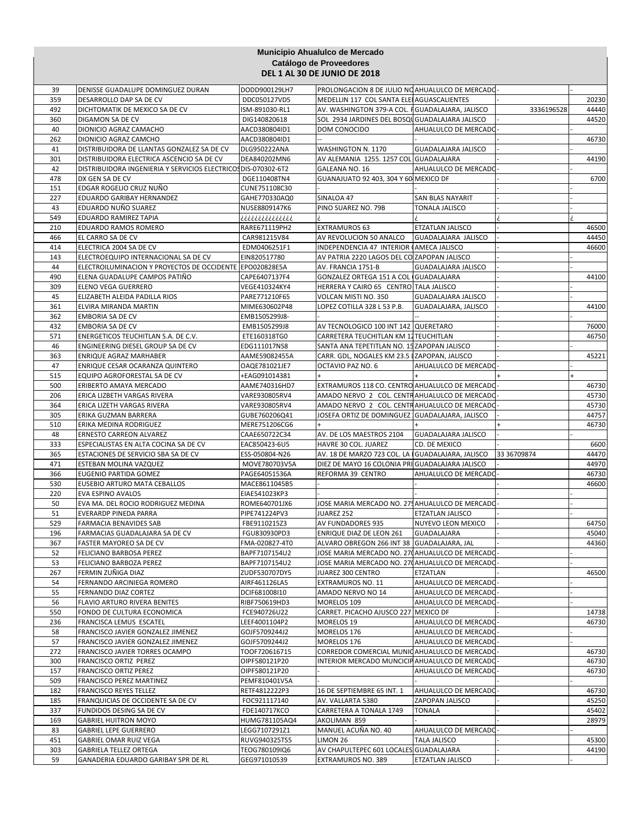|           |                                                                                                             |                                | Municipio Ahualulco de Mercado                               |                                              |             |                |
|-----------|-------------------------------------------------------------------------------------------------------------|--------------------------------|--------------------------------------------------------------|----------------------------------------------|-------------|----------------|
|           |                                                                                                             |                                | Catálogo de Proveedores                                      |                                              |             |                |
|           |                                                                                                             |                                | <b>DEL 1 AL 30 DE JUNIO DE 2018</b>                          |                                              |             |                |
|           |                                                                                                             |                                |                                                              |                                              |             |                |
| 39        | DENISSE GUADALUPE DOMINGUEZ DURAN                                                                           | DODD900129LH7                  | PROLONGACION 8 DE JULIO NO AHUALULCO DE MERCADO-             |                                              |             |                |
| 359       | DESARROLLO DAP SA DE CV                                                                                     | DDC050127VD5                   | MEDELLIN 117 COL SANTA ELEI AGUASCALIENTES                   |                                              |             | 20230          |
| 492       | DICHTOMATIK DE MEXICO SA DE CV                                                                              | ISM-891030-RL1                 | AV. WASHINGTON 379-A COL. FGUADALAJARA, JALISCO              |                                              | 3336196528  | 44440          |
| 360       | DIGAMON SA DE CV                                                                                            | DIG140820618                   | SOL 2934 JARDINES DEL BOSQU GUADALAJARA JALISCO              |                                              |             | 44520          |
| 40        | DIONICIO AGRAZ CAMACHO                                                                                      | AACD380804ID1                  | DOM CONOCIDO                                                 | AHUALULCO DE MERCADO                         |             |                |
| 262       | DIONICIO AGRAZ CAMCHO                                                                                       | AACD380804ID1                  |                                                              |                                              |             | 46730          |
| 41        | DISTRIBUIDORA DE LLANTAS GONZALEZ SA DE CV                                                                  | <b>DLG950222ANA</b>            | WASHINGTON N. 1170                                           | GUADALAJARA JALISCO                          |             |                |
| 301<br>42 | DISTRIBUIDORA ELECTRICA ASCENCIO SA DE CV<br>DISTRIBUIDORA INGENIERIA Y SERVICIOS ELECTRICOS DIS-070302-6T2 | DEA840202MN6                   | AV ALEMANIA 1255. 1257 COL GUADALAJARA<br>GALEANA NO. 16     | AHUALULCO DE MERCADO                         |             | 44190          |
| 478       | DX GEN SA DE CV                                                                                             | DGE110408TN4                   | GUANAJUATO 92 403, 304 Y 60 MEXICO DF                        |                                              |             | 6700           |
| 151       | EDGAR ROGELIO CRUZ NUÑO                                                                                     | CUNE751108C30                  |                                                              |                                              |             |                |
| 227       | EDUARDO GARIBAY HERNANDEZ                                                                                   | GAHE770330AQ0                  | SINALOA 47                                                   | SAN BLAS NAYARIT                             |             |                |
| 43        | EDUARDO NUÑO SUAREZ                                                                                         | NUSE8809147K6                  | PINO SUAREZ NO. 79B                                          | TONALA JALISCO                               |             |                |
| 549       | EDUARDO RAMIREZ TAPIA                                                                                       | ¿¿¿¿¿¿¿¿¿¿¿¿                   |                                                              |                                              |             |                |
| 210       | EDUARDO RAMOS ROMERO                                                                                        | RARE671119PH2                  | <b>EXTRAMUROS 63</b>                                         | ETZATLAN JALISCO                             |             | 46500          |
| 466       | EL CARRO SA DE CV                                                                                           | CAR981215V84                   | AV REVOLUCION 50 ANALCO                                      | GUADALAJARA JALISCO                          |             | 44450          |
| 414       | ELECTRICA 2004 SA DE CV                                                                                     | EDM0406251F1                   | INDEPENDENCIA 47 INTERIOR (AMECA JALISCO                     |                                              |             | 46600          |
| 143       | ELECTROEQUIPO INTERNACIONAL SA DE CV                                                                        | EIN820517780                   | AV PATRIA 2220 LAGOS DEL CO ZAPOPAN JALISCO                  |                                              |             |                |
| 44        | ELECTROILUMINACION Y PROYECTOS DE OCCIDENTE                                                                 | EPO020828E5A                   | AV. FRANCIA 1751-B                                           | GUADALAJARA JALISCO                          |             |                |
| 490       | ELENA GUADALUPE CAMPOS PATIÑO                                                                               | CAPE6407137F4                  | GONZALEZ ORTEGA 151 A COL GUADALAJARA                        |                                              |             | 44100          |
| 309       | <b>ELENO VEGA GUERRERO</b>                                                                                  | VEGE410324KY4                  | HERRERA Y CAIRO 65 CENTRO TALA JALISCO                       |                                              |             |                |
| 45        | ELIZABETH ALEIDA PADILLA RIOS                                                                               | PARE771210F65                  | VOLCAN MISTI NO. 350                                         | <b>GUADALAJARA JALISCO</b>                   |             |                |
| 361       | ELVIRA MIRANDA MARTIN                                                                                       | MIME630602P48                  | LOPEZ COTILLA 328 L 53 P.B.                                  | GUADALAJARA, JALISCO                         |             | 44100          |
| 362       | <b>EMBORIA SA DE CV</b>                                                                                     | EMB1505299J8-                  |                                                              |                                              |             |                |
| 432       | <b>EMBORIA SA DE CV</b>                                                                                     | EMB1505299J8                   | AV TECNOLOGICO 100 INT 142 QUERETARO                         |                                              |             | 76000          |
| 571       | ENERGETICOS TEUCHITLAN S.A. DE C.V.                                                                         | ETE160318TG0                   | CARRETERA TEUCHITLAN KM 12 TEUCHITLAN                        |                                              |             | 46750          |
| 46        | ENGINEERING DIESEL GROUP SA DE CV                                                                           | EDG111017NS8                   | SANTA ANA TEPETITLAN NO. 15 ZAPOPAN JALISCO                  |                                              |             |                |
| 363       | ENRIQUE AGRAZ MARHABER                                                                                      | AAME59082455A                  | CARR. GDL, NOGALES KM 23.5   ZAPOPAN, JALISCO                |                                              |             | 45221          |
| 47        | ENRIQUE CESAR OCARANZA QUINTERO                                                                             | OAQE781021JE7                  | OCTAVIO PAZ NO. 6                                            | AHUALULCO DE MERCADO                         |             |                |
| 515       | EQUIPO AGROFORESTAL SA DE CV                                                                                | +EAG091014381                  |                                                              |                                              |             |                |
| 500       | ERIBERTO AMAYA MERCADO                                                                                      | AAME740316HD7                  | EXTRAMUROS 118 CO. CENTRO AHUALULCO DE MERCADO               |                                              |             | 46730          |
| 206       | ERICA LIZBETH VARGAS RIVERA                                                                                 | VARE930805RV4                  | AMADO NERVO 2 COL. CENTRAHUALULCO DE MERCADO                 |                                              |             | 45730          |
| 364       | ERICA LIZETH VARGAS RIVERA                                                                                  | VARE930805RV4                  | AMADO NERVO 2 COL. CENTRAHUALULCO DE MERCADO                 |                                              |             | 45730          |
| 305       | ERIKA GUZMAN BARRERA                                                                                        | GUBE760206Q41                  | JOSEFA ORTIZ DE DOMINGUEZ GUADALAJARA, JALISCO               |                                              |             | 44757          |
| 510       | ERIKA MEDINA RODRIGUEZ                                                                                      | MERE751206CG6                  |                                                              |                                              |             | 46730          |
| 48        | <b>ERNESTO CARREON ALVAREZ</b>                                                                              | CAAE650722C34                  | AV. DE LOS MAESTROS 2104                                     | <b>GUADALAJARA JALISCO</b>                   |             |                |
| 333       | ESPECIALISTAS EN ALTA COCINA SA DE CV                                                                       | EAC850423-6U5                  | HAVRE 30 COL. JUAREZ                                         | CD. DE MEXICO                                |             | 6600           |
| 365       | ESTACIONES DE SERVICIO SBA SA DE CV                                                                         | ESS-050804-N26                 | AV. 18 DE MARZO 723 COL. LA                                  | <b>GUADALAJARA, JALISCO</b>                  | 33 36709874 | 44470          |
| 471       | ESTEBAN MOLINA VAZQUEZ                                                                                      | MOVE780703V5A                  | DIEZ DE MAYO 16 COLONIA PRI GUADALAJARA JALISCO              |                                              |             | 44970          |
| 366       | EUGENIO PARTIDA GOMEZ                                                                                       | PAGE64051536A                  | REFORMA 39 CENTRO                                            | AHUALULCO DE MERCADO                         |             | 46730          |
| 530       | EUSEBIO ARTURO MATA CEBALLOS                                                                                | MACE8611045B5                  |                                                              |                                              |             | 46600          |
| 220       | EVA ESPINO AVALOS                                                                                           | EIAE541023KP3                  |                                                              |                                              |             |                |
| 50        | EVA MA. DEL ROCIO RODRIGUEZ MEDINA                                                                          | ROME640701JX6                  | JOSE MARIA MERCADO NO. 275 AHUALULCO DE MERCADO              |                                              |             |                |
| 51        | EVERARDP PINEDA PARRA                                                                                       | PIPE741224PV3                  | JUAREZ 252                                                   | EIZAILAN JALISCO                             |             |                |
| 529       | <b>FARMACIA BENAVIDES SAB</b>                                                                               | FBE9110215Z3                   | AV FUNDADORES 935                                            | NUYEVO LEON MEXICO                           |             | 64750          |
| 196       | FARMACIAS GUADALAJARA SA DE CV                                                                              | FGU830930PD3                   | <b>ENRIQUE DIAZ DE LEON 261</b>                              | GUADALAJARA                                  |             | 45040          |
| 367       | FASTER MAYOREO SA DE CV                                                                                     | FMA-020827-4T0                 | ALVARO OBREGON 266 INT 38 GUADALAJARA, JAL                   |                                              |             | 44360          |
| 52        | FELICIANO BARBOSA PEREZ                                                                                     | BAPF7107154U2                  | JOSE MARIA MERCADO NO. 270 AHUALULCO DE MERCADO              |                                              |             |                |
| 53        | FELICIANO BARBOZA PEREZ                                                                                     | BAPF7107154U2                  | JOSE MARIA MERCADO NO. 270 AHUALULCO DE MERCADO              |                                              |             |                |
| 267       | FERMIN ZUÑIGA DIAZ                                                                                          | ZUDF530707DY5                  | JUAREZ 300 CENTRO                                            | ETZATLAN                                     |             | 46500          |
| 54        | FERNANDO ARCINIEGA ROMERO                                                                                   | AIRF461126LA5                  | EXTRAMUROS NO. 11                                            | AHUALULCO DE MERCADO                         |             |                |
| 55        | FERNANDO DIAZ CORTEZ                                                                                        | DCIF681008I10                  | AMADO NERVO NO 14                                            | AHUALULCO DE MERCADO                         |             |                |
| 56        | FLAVIO ARTURO RIVERA BENITES                                                                                | RIBF750619HD3                  | MORELOS 109                                                  | AHUALULCO DE MERCADO                         |             |                |
| 550       | FONDO DE CULTURA ECONOMICA                                                                                  | FCE940726U22                   | CARRET. PICACHO AJUSCO 227 MEXICO DF                         |                                              |             | 14738          |
| 236       | FRANCISCA LEMUS ESCATEL                                                                                     | LEEF4001104P2                  | MORELOS 19                                                   | AHUALULCO DE MERCADO                         |             | 46730          |
| 58        | FRANCISCO JAVIER GONZALEZ JIMENEZ                                                                           | GOJF5709244J2<br>GOJF5709244J2 | MORELOS 176                                                  | AHUALULCO DE MERCADO<br>AHUALULCO DE MERCADO |             |                |
| 57<br>272 | FRANCISCO JAVIER GONZALEZ JIMENEZ                                                                           |                                | MORELOS 176<br>CORREDOR COMERCIAL MUNIC AHUALULCO DE MERCADO |                                              |             | 46730          |
| 300       | FRANCISCO JAVIER TORRES OCAMPO                                                                              | TOOF720616715                  | INTERIOR MERCADO MUNCICIPAHUALULCO DE MERCADO                |                                              |             |                |
| 157       | FRANCISCO ORTIZ PEREZ<br>FRANCISCO ORTIZ PEREZ                                                              | OIPF580121P20<br>OIPF580121P20 |                                                              | AHUALULCO DE MERCADO                         |             | 46730<br>46730 |
| 509       | FRANCISCO PEREZ MARTINEZ                                                                                    | PEMF810401V5A                  |                                                              |                                              |             |                |
| 182       | <b>FRANCISCO REYES TELLEZ</b>                                                                               | RETF4812222P3                  | 16 DE SEPTIEMBRE 65 INT. 1                                   | AHUALULCO DE MERCADO                         |             | 46730          |
| 185       | FRANQUICIAS DE OCCIDENTE SA DE CV                                                                           |                                |                                                              |                                              |             |                |
| 337       | FUNDIDOS DESING SA DE CV                                                                                    | FOC921117140<br>FDE140717KCO   | AV. VALLARTA 5380<br>CARRETERA A TONALA 1749                 | ZAPOPAN JALISCO<br><b>TONALA</b>             |             | 45250<br>45402 |
| 169       | <b>GABRIEL HUITRON MOYO</b>                                                                                 | HUMG781105AQ4                  | AKOLIMAN 859                                                 |                                              |             | 28979          |
| 83        | <b>GABRIEL LEPE GUERRERO</b>                                                                                | LEGG7107291Z1                  | MANUEL ACUÑA NO. 40                                          | AHUALULCO DE MERCADO                         |             |                |
| 451       | GABRIEL OMAR RUIZ VEGA                                                                                      | RUVG940325TS5                  | LIMON 26                                                     | <b>TALA JALISCO</b>                          |             | 45300          |
| 303       | <b>GABRIELA TELLEZ ORTEGA</b>                                                                               | TEOG780109IQ6                  | AV CHAPULTEPEC 601 LOCALES GUADALAJARA                       |                                              |             | 44190          |
| 59        | GANADERIA EDUARDO GARIBAY SPR DE RL                                                                         | GEG971010539                   | EXTRAMUROS NO. 389                                           | ETZATLAN JALISCO                             |             |                |
|           |                                                                                                             |                                |                                                              |                                              |             |                |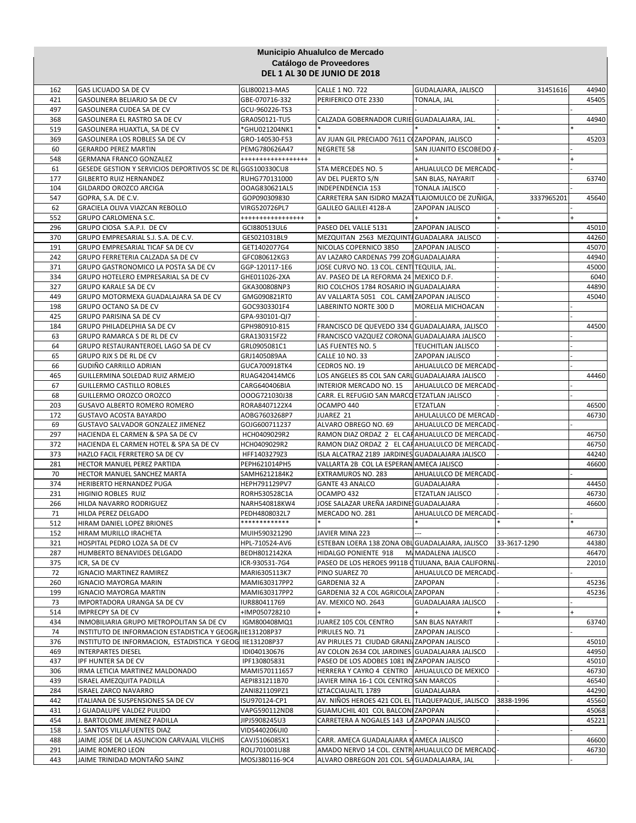|            |                                                             |                                | Municipio Ahualulco de Mercado                                           |                          |              |  |                |  |  |
|------------|-------------------------------------------------------------|--------------------------------|--------------------------------------------------------------------------|--------------------------|--------------|--|----------------|--|--|
|            | Catálogo de Proveedores                                     |                                |                                                                          |                          |              |  |                |  |  |
|            |                                                             |                                | <b>DEL 1 AL 30 DE JUNIO DE 2018</b>                                      |                          |              |  |                |  |  |
| 162        | <b>GAS LICUADO SA DE CV</b>                                 | GLI800213-MA5                  | <b>CALLE 1 NO. 722</b>                                                   | GUDALAJARA, JALISCO      | 31451616     |  | 44940          |  |  |
| 421        | GASOLINERA BELIARJO SA DE CV                                | GBE-070716-332                 | PERIFERICO OTE 2330                                                      | TONALA, JAL              |              |  | 45405          |  |  |
| 497        | <b>GASOLINERA CUDEA SA DE CV</b>                            | GCU-960226-TS3                 |                                                                          |                          |              |  |                |  |  |
| 368        | GASOLINERA EL RASTRO SA DE CV                               | GRA050121-TU5                  | CALZADA GOBERNADOR CURIE GUADALAJARA, JAL.                               |                          |              |  | 44940          |  |  |
| 519        | GASOLINERA HUAXTLA, SA DE CV                                | *GHU021204NK1                  |                                                                          |                          |              |  |                |  |  |
| 369        | GASOLINERA LOS ROBLES SA DE CV                              | GRO-140530-F53                 | AV JUAN GIL PRECIADO 7611 COZAPOPAN, JALISCO                             |                          |              |  | 45203          |  |  |
| 60         | <b>GERARDO PEREZ MARTIN</b>                                 | PEMG780626A47                  | <b>NEGRETE 58</b>                                                        | SAN JUANITO ESCOBEDO     |              |  |                |  |  |
| 548        | <b>GERMANA FRANCO GONZALEZ</b>                              | ******************             |                                                                          |                          |              |  |                |  |  |
| 61         | GESEDE GESTION Y SERVICIOS DEPORTIVOS SC DE RL GGS100330CU8 |                                | STA MERCEDES NO. 5                                                       | AHUALULCO DE MERCADO     |              |  |                |  |  |
| 177        | <b>GILBERTO RUIZ HERNANDEZ</b>                              | RUHG770131000                  | AV DEL PUERTO S/N                                                        | SAN BLAS, NAYARIT        |              |  | 63740          |  |  |
| 104        | GILDARDO OROZCO ARCIGA                                      | OOAG830621AL5                  | INDEPENDENCIA 153                                                        | <b>TONALA JALISCO</b>    | 3337965201   |  | 45640          |  |  |
| 547<br>62  | GOPRA, S.A. DE C.V.<br>GRACIELA OLIVA VIAZCAN REBOLLO       | GOP090309830<br>VIRG520726PL7  | CARRETERA SAN ISIDRO MAZATTLAJOMULCO DE ZUÑIGA<br>GALILEO GALILEI 4128-A | ZAPOPAN JALISCO          |              |  |                |  |  |
| 552        | <b>GRUPO CARLOMENA S.C.</b>                                 | *****************              |                                                                          |                          |              |  |                |  |  |
| 296        | GRUPO CIOSA S.A.P.I. DE CV                                  | GCI880513UL6                   | PASEO DEL VALLE 5131                                                     | ZAPOPAN JALISCO          |              |  | 45010          |  |  |
| 370        | GRUPO EMPRESARIAL S.J. S.A. DE C.V.                         | GES021031BL9                   | MEZQUITAN 2563 MEZQUINTA GUADALARA JALISCO                               |                          |              |  | 44260          |  |  |
| 191        | GRUPO EMPRESARIAL TICAF SA DE CV                            | GET1402077G4                   | NICOLAS COPERNICO 3850                                                   | ZAPOPAN JALISCO          |              |  | 45070          |  |  |
| 242        | GRUPO FERRETERIA CALZADA SA DE CV                           | GFC080612KG3                   | AV LAZARO CARDENAS 799 ZON GUADALAJARA                                   |                          |              |  | 44940          |  |  |
| 371        | GRUPO GASTRONOMICO LA POSTA SA DE CV                        | GGP-120117-1E6                 | JOSE CURVO NO. 13 COL. CENTITEQUILA, JAL.                                |                          |              |  | 45000          |  |  |
| 334        | GRUPO HOTELERO EMPRESARIAL SA DE CV                         | GHE011026-2XA                  | AV. PASEO DE LA REFORMA 24 MEXICO D.F.                                   |                          |              |  | 6040           |  |  |
| 327        | <b>GRUPO KARALE SA DE CV</b>                                | GKA300808NP3                   | RIO COLCHOS 1784 ROSARIO IN GUADALAJARA                                  |                          |              |  | 44890          |  |  |
| 449        | GRUPO MOTORMEXA GUADALAJARA SA DE CV                        | GMG090821RT0                   | AV VALLARTA 5051 COL. CAMI ZAPOPAN JALISCO                               |                          |              |  | 45040          |  |  |
| 198        | <b>GRUPO OCTANO SA DE CV</b>                                | GOC9303301F4                   | LABERINTO NORTE 300 D                                                    | <b>MORELIA MICHOACAN</b> |              |  |                |  |  |
| 425        | <b>GRUPO PARISINA SA DE CV</b>                              | GPA-930101-QI7                 |                                                                          |                          |              |  |                |  |  |
| 184        | GRUPO PHILADELPHIA SA DE CV                                 | GPH980910-815                  | FRANCISCO DE QUEVEDO 334 OGUADALAJARA, JALISCO                           |                          |              |  | 44500          |  |  |
| 63         | GRUPO RAMARCA S DE RL DE CV                                 | GRA130315FZ2                   | FRANCISCO VAZQUEZ CORONA GUADALAJARA JALISCO                             |                          |              |  |                |  |  |
| 64         | GRUPO RESTAURANTEROEL LAGO SA DE CV                         | GRL0905081C1                   | LAS FUENTES NO. 5                                                        | TEUCHITLAN JALISCO       |              |  |                |  |  |
| 65         | GRUPO RJX S DE RL DE CV                                     | GRJ1405089AA                   | CALLE 10 NO. 33                                                          | ZAPOPAN JALISCO          |              |  |                |  |  |
| 66         | GUDIÑO CARRILLO ADRIAN                                      | GUCA700918TK4                  | CEDROS NO. 19                                                            | AHUALULCO DE MERCADO     |              |  |                |  |  |
| 465        | GUILLERMINA SOLEDAD RUIZ ARMEJO                             | RUAG420414MC6                  | LOS ANGELES 85 COL SAN CARL GUADALAJARA JALISCO                          |                          |              |  | 44460          |  |  |
| 67         | <b>GUILLERMO CASTILLO ROBLES</b>                            | CARG640406BIA                  | INTERIOR MERCADO NO. 15                                                  | AHUALULCO DE MERCADO     |              |  |                |  |  |
| 68         | GUILLERMO OROZCO OROZCO                                     | OOOG721030J38                  | CARR. EL REFUGIO SAN MARCO ETZATLAN JALISCO                              |                          |              |  |                |  |  |
| 203        | GUSAVO ALBERTO ROMERO ROMERO                                | RORA8407122X4                  | OCAMPO 440                                                               | <b>ETZATLAN</b>          |              |  | 46500          |  |  |
| 172        | <b>GUSTAVO ACOSTA BAYARDO</b>                               | AOBG7603268P7                  | JUAREZ 21                                                                | AHULALULCO DE MERCAD     |              |  | 46730          |  |  |
| 69         | GUSTAVO SALVADOR GONZALEZ JIMENEZ                           | GOJG600711237                  | ALVARO OBREGO NO. 69                                                     | AHUALULCO DE MERCADO     |              |  |                |  |  |
| 297        | HACIENDA EL CARMEN & SPA SA DE CV                           | HCH0409029R2                   | RAMON DIAZ ORDAZ 2 EL CAFAHUALULCO DE MERCADO                            |                          |              |  | 46750          |  |  |
| 372        | HACIENDA EL CARMEN HOTEL & SPA SA DE CV                     | HCH0409029R2                   | RAMON DIAZ ORDAZ 2 EL CAFAHUALULCO DE MERCADO                            |                          |              |  | 46750          |  |  |
| 373        | HAZLO FACIL FERRETERO SA DE CV                              | HFF1403279Z3                   | ISLA ALCATRAZ 2189 JARDINES GUADALAJARA JALISCO                          |                          |              |  | 44240          |  |  |
| 281        | HECTOR MANUEL PEREZ PARTIDA                                 | PEPH621014PH5                  | VALLARTA 2B COL LA ESPERAN AMECA JALISCO                                 |                          |              |  | 46600          |  |  |
| 70         | HECTOR MANUEL SANCHEZ MARTA                                 | SAMH6212184K2                  | EXTRAMUROS NO. 283                                                       | AHUALULCO DE MERCADO     |              |  |                |  |  |
| 374        | HERIBERTO HERNANDEZ PUGA                                    | HEPH791129PV7                  | <b>GANTE 43 ANALCO</b>                                                   | <b>GUADALAJARA</b>       |              |  | 44450          |  |  |
| 231<br>266 | HIGINIO ROBLES RUIZ                                         | RORH530528C1A                  | OCAMPO 432<br>JOSE SALAZAR UREÑA JARDINE, GUADALAJARA                    | <b>ETZATLAN JALISCO</b>  |              |  | 46730<br>46600 |  |  |
| 71         | HILDA NAVARRO RODRIGUEZ<br>HILDA PEREZ DELGADO              | NARH540818KW4<br>PEDH4808032L7 | MERCADO NO. 281                                                          | AHUALULCO DE MERCADO     |              |  |                |  |  |
| 512        | HIRAM DANIEL LOPEZ BRIONES                                  | ************                   |                                                                          |                          |              |  |                |  |  |
| 152        | HIRAM MURILLO IRACHETA                                      | MUIH590321290                  | JAVIER MINA 223                                                          | $\overline{a}$           |              |  | 46730          |  |  |
| 321        | HOSPITAL PEDRO LOZA SA DE CV                                | HPL-710524-AV6                 | ESTEBAN LOERA 138 ZONA OBL GUADALAJARA, JALISCO                          |                          | 33-3617-1290 |  | 44380          |  |  |
| 287        | HUMBERTO BENAVIDES DELGADO                                  | BEDH8012142KA                  | HIDALGO PONIENTE 918                                                     | M. MADALENA JALISCO      |              |  | 46470          |  |  |
| 375        | ICR, SA DE CV                                               | ICR-930531-7G4                 | PASEO DE LOS HEROES 9911B CTIJUANA, BAJA CALIFORNI.                      |                          |              |  | 22010          |  |  |
| 72         | <b>IGNACIO MARTINEZ RAMIREZ</b>                             | MARI6305113K7                  | PINO SUAREZ 70                                                           | AHUALULCO DE MERCADO     |              |  |                |  |  |
| 260        | <b>IGNACIO MAYORGA MARIN</b>                                | MAMI630317PP2                  | GARDENIA 32 A                                                            | ZAPOPAN                  |              |  | 45236          |  |  |
| 199        | <b>IGNACIO MAYORGA MARTIN</b>                               | MAMI630317PP2                  | GARDENIA 32 A COL AGRICOLA ZAPOPAN                                       |                          |              |  | 45236          |  |  |
| 73         | IMPORTADORA URANGA SA DE CV                                 | IUR880411769                   | AV. MEXICO NO. 2643                                                      | GUADALAJARA JALISCO      |              |  |                |  |  |
| 514        | <b>IMPRECPY SA DE CV</b>                                    | +IMP050728210                  |                                                                          |                          |              |  |                |  |  |
| 434        | INMOBILIARIA GRUPO METROPOLITAN SA DE CV                    | IGM800408MQ1                   | JUAREZ 105 COL CENTRO                                                    | <b>SAN BLAS NAYARIT</b>  |              |  | 63740          |  |  |
| 74         | INSTITUTO DE INFORMACION ESTADISTICA Y GEOGRI IIE131208P37  |                                | PIRULES NO. 71                                                           | ZAPOPAN JALISCO          |              |  |                |  |  |
| 376        | INSTITUTO DE INFORMACION, ESTADISTICA Y GEOG IIE131208P37   |                                | AV PIRULES 71 CIUDAD GRANJ ZAPOPAN JALISCO                               |                          |              |  | 45010          |  |  |
| 469        | <b>INTERPARTES DIESEL</b>                                   | IDI040130676                   | AV COLON 2634 COL JARDINES GUADALAJARA JALISCO                           |                          |              |  | 44950          |  |  |
| 437        | IPF HUNTER SA DE CV                                         | IPF130805831                   | PASEO DE LOS ADOBES 1081 IN ZAPOPAN JALISCO                              |                          |              |  | 45010          |  |  |
| 306        | IRMA LETICIA MARTINEZ MALDONADO                             | MAMI570111657                  | HERRERA Y CAYRO 4 CENTRO AHUALULCO DE MEXICO                             |                          |              |  | 46730          |  |  |
| 439        | ISRAEL AMEZQUITA PADILLA                                    | AEPI831211B70                  | JAVIER MINA 16-1 COL CENTRO SAN MARCOS                                   |                          |              |  | 46540          |  |  |
| 284        | <b>ISRAEL ZARCO NAVARRO</b>                                 | ZANI821109PZ1                  | IZTACCIAUALTL 1789                                                       | <b>GUADALAJARA</b>       |              |  | 44290          |  |  |
| 442        | ITALIANA DE SUSPENSIONES SA DE CV                           | ISU970124-CP1                  | AV. NIÑOS HEROES 421 COL EL TLAQUEPAQUE, JALISCO                         |                          | 3838-1996    |  | 45560          |  |  |
| 431        | J GUADALUPE VALDEZ PULIDO                                   | VAPG590112ND8                  | GUAMUCHIL 401 COL BALCON ZAPOPAN                                         |                          |              |  | 45068          |  |  |
| 454        | J. BARTOLOME JIMENEZ PADILLA                                | JIPJ5908245U3                  | CARRETERA A NOGALES 143 LA ZAPOPAN JALISCO                               |                          |              |  | 45221          |  |  |
| 158        | J. SANTOS VILLAFUENTES DIAZ                                 | VIDS440206UI0                  |                                                                          |                          |              |  |                |  |  |
| 488        | JAIME JOSE DE LA ASUNCION CARVAJAL VILCHIS                  | CAVJ5106085X1                  | CARR. AMECA GUADALAJARA K AMECA JALISCO                                  |                          |              |  | 46600          |  |  |
| 291        | JAIME ROMERO LEON                                           | ROLJ701001U88                  | AMADO NERVO 14 COL. CENTRI AHUALULCO DE MERCADO                          |                          |              |  | 46730          |  |  |
| 443        | JAIME TRINIDAD MONTAÑO SAINZ                                | MOSJ380116-9C4                 | ALVARO OBREGON 201 COL. SA GUADALAJARA, JAL                              |                          |              |  |                |  |  |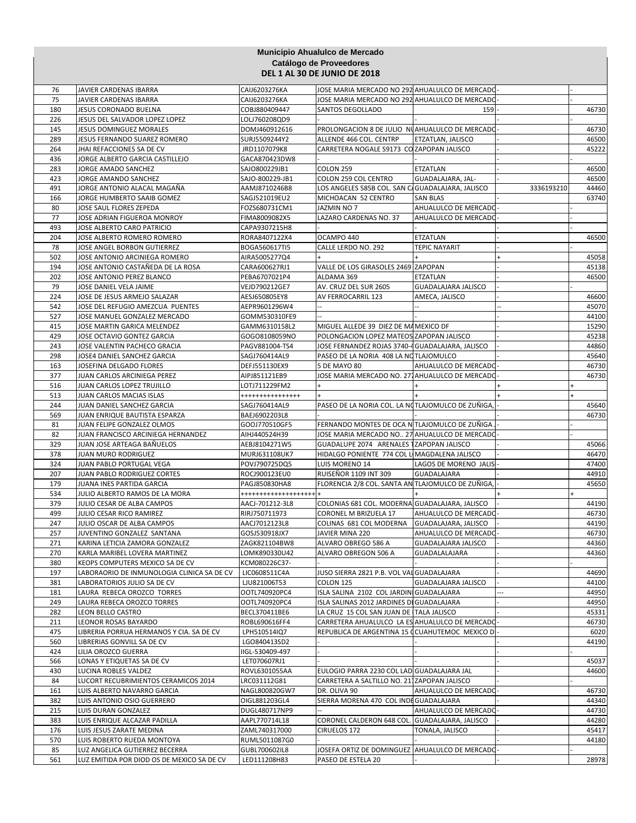|            |                                                           |                                | Municipio Ahualulco de Mercado<br>Catálogo de Proveedores                                 |                            |            |                |
|------------|-----------------------------------------------------------|--------------------------------|-------------------------------------------------------------------------------------------|----------------------------|------------|----------------|
|            |                                                           |                                | <b>DEL 1 AL 30 DE JUNIO DE 2018</b>                                                       |                            |            |                |
| 76         | JAVIER CARDENAS IBARRA                                    | CAIJ6203276KA                  | JOSE MARIA MERCADO NO 292 AHUALULCO DE MERCADO                                            |                            |            |                |
| 75         | JAVIER CARDENAS IBARRA                                    | CAIJ6203276KA                  | JOSE MARIA MERCADO NO 292 AHUALULCO DE MERCADO                                            |                            |            |                |
| 180        | JESUS CORONADO BUELNA                                     | COBJ880409447                  | SANTOS DEGOLLADO                                                                          | 159                        |            | 46730          |
| 226        | JESUS DEL SALVADOR LOPEZ LOPEZ                            | LOLJ760208QD9                  |                                                                                           |                            |            |                |
| 145        | <b>JESUS DOMINGUEZ MORALES</b>                            | DOMJ460912616                  | PROLONGACION 8 DE JULIO NUAHUALULCO DE MERCADO                                            |                            |            | 46730          |
| 289        | JESUS FERNANDO SUAREZ ROMERO                              | SURJ5509244Y2                  | ALLENDE 466 COL. CENTRP                                                                   | ETZATLAN, JALISCO          |            | 46500          |
| 264        | JHAI REFACCIONES SA DE CV                                 | JRD1107079K8                   | CARRETERA NOGALE S9173 CO ZAPOPAN JALISCO                                                 |                            |            | 45222          |
| 436        | JORGE ALBERTO GARCIA CASTILLEJO                           | GACA870423DW8                  |                                                                                           |                            |            |                |
| 283        | JORGE AMADO SANCHEZ                                       | SAJO800229JB1                  | COLON 259                                                                                 | ETZATLAN                   |            | 46500          |
| 423        | JORGE AMANDO SANCHEZ                                      | SAJO-800229-JB1                | COLON 259 COL CENTRO                                                                      | GUADALAJARA, JAL-          |            | 46500          |
| 491<br>166 | JORGE ANTONIO ALACAL MAGAÑA<br>JORGE HUMBERTO SAAIB GOMEZ | AAMJ8710246B8<br>SAGJ521019EU2 | LOS ANGELES 585B COL. SAN C/GUADALAJARA, JALISCO<br>MICHOACAN 52 CENTRO                   | <b>SAN BLAS</b>            | 3336193210 | 44460<br>63740 |
| 80         | JOSE SAUL FLORES ZEPEDA                                   | FOZS680731CM1                  | JAZMIN NO 7                                                                               | AHUALULCO DE MERCADO       |            |                |
| 77         | JOSE ADRIAN FIGUEROA MONROY                               | FIMA8009082X5                  | LAZARO CARDENAS NO. 37                                                                    | AHUALULCO DE MERCADO       |            |                |
| 493        | JOSE ALBERTO CARO PATRICIO                                | CAPA9307215H8                  |                                                                                           |                            |            |                |
| 204        | JOSE ALBERTO ROMERO ROMERO                                | RORA8407122X4                  | OCAMPO 440                                                                                | <b>ETZATLAN</b>            |            | 46500          |
| 78         | JOSE ANGEL BORBON GUTIERREZ                               | BOGA560617TI5                  | CALLE LERDO NO. 292                                                                       | <b>TEPIC NAYARIT</b>       |            |                |
| 502        | JOSE ANTONIO ARCINIEGA ROMERO                             | AIRA5005277Q4                  |                                                                                           |                            |            | 45058          |
| 194        | JOSE ANTONIO CASTAÑEDA DE LA ROSA                         | CARA600627RJ1                  | VALLE DE LOS GIRASOLES 2469 ZAPOPAN                                                       |                            |            | 45138          |
| 202        | JOSE ANTONIO PEREZ BLANCO                                 | PEBA6707021P4                  | ALDAMA 369                                                                                | ETZATLAN                   |            | 46500          |
| 79         | JOSE DANIEL VELA JAIME                                    | VEJD790212GE7                  | AV. CRUZ DEL SUR 2605                                                                     | GUADALAJARA JALISCO        |            |                |
| 224        | JOSE DE JESUS ARMEJO SALAZAR                              | AESJ650805EY8                  | AV FERROCARRIL 123                                                                        | AMECA, JALISCO             |            | 46600          |
| 542        | JOSE DEL REFUGIO AMEZCUA PUENTES                          | AEPR9601296W4                  |                                                                                           |                            |            | 45070          |
| 527        | JOSE MANUEL GONZALEZ MERCADO                              | GOMM530310FE9                  |                                                                                           |                            |            | 44100          |
| 415        | JOSE MARTIN GARICA MELENDEZ                               | GAMM6310158L2                  | MIGUEL ALLEDE 39 DIEZ DE MA MEXICO DF                                                     |                            |            | 15290          |
| 429        | JOSE OCTAVIO GONTEZ GARCIA                                | GOGO8108059NO                  | POLONGACION LOPEZ MATEOS ZAPOPAN JALISCO                                                  |                            |            | 45238          |
| 243        | JOSE VALENTIN PACHECO GRACIA                              | PAGV881004-TS4                 | JOSE FERNANDEZ ROJAS 3740-4 GUADALAJARA, JALISCO                                          |                            |            | 44860          |
| 298        | JOSE4 DANIEL SANCHEZ GARCIA                               | SAGJ760414AL9                  | PASEO DE LA NORIA 408 LA NOTLAJOMULCO                                                     |                            |            | 45640          |
| 163        | JOSEFINA DELGADO FLORES                                   | DEFJ551130EX9                  | 5 DE MAYO 80                                                                              | AHUALULCO DE MERCADO       |            | 46730          |
| 377        | JUAN CARLOS ARCINIEGA PEREZ                               | AIPJ851121EB9                  | JOSE MARIA MERCADO NO. 277 AHUALULCO DE MERCADO                                           |                            |            | 46730          |
| 516        | JUAN CARLOS LOPEZ TRUJILLO                                | LOTJ711229FM2                  | +                                                                                         |                            |            |                |
| 513        | JUAN CARLOS MACIAS ISLAS                                  | +++++++++++++++                |                                                                                           |                            |            |                |
| 244        | JUAN DANIEL SANCHEZ GARCIA                                | SAGJ760414AL9                  | PASEO DE LA NORIA COL. LA NOTLAJOMULCO DE ZUÑIGA                                          |                            |            | 45640          |
| 569        | JUAN ENRIQUE BAUTISTA ESPARZA                             | BAEJ6902203L8                  |                                                                                           |                            |            | 46730          |
| 81         | JUAN FELIPE GONZALEZ OLMOS                                | GOOJ770510GF5                  | FERNANDO MONTES DE OCA N TLAJOMULCO DE ZUÑIGA                                             |                            |            |                |
| 82         | JUAN FRANCISCO ARCINIEGA HERNANDEZ                        | AIHJ440524H39                  | JOSE MARIA MERCADO NO 27 AHUALULCO DE MERCADO                                             |                            |            |                |
| 329        | JUAN JOSE ARTEAGA BAÑUELOS                                | AEBJ8104271W5                  | GUADALUPE 2074 ARENALES 1ZAPOPAN JALISCO<br>HIDALGO PONIENTE 774 COL LI MAGDALENA JALISCO |                            |            | 45066          |
| 378<br>324 | JUAN MURO RODRIGUEZ<br>JUAN PABLO PORTUGAL VEGA           | MURJ631108UK7<br>POVJ790725DQ5 | LUIS MORENO 14                                                                            | LAGOS DE MORENO JALIS      |            | 46470<br>47400 |
| 207        | JUAN PABLO RODRIGUEZ CORTES                               | ROCJ900123EU0                  | <b>RUISEÑOR 1109 INT 309</b>                                                              | GUADALAJARA                |            | 44910          |
| 179        | JUANA INES PARTIDA GARCIA                                 | PAGJ850830HA8                  | FLORENCIA 2/8 COL. SANTA AN TLAJOMULCO DE ZUÑIGA,                                         |                            |            | 45650          |
| 534        | JULIO ALBERTO RAMOS DE LA MORA                            | ********************           |                                                                                           |                            |            |                |
| 379        | JULIO CESAR DE ALBA CAMPOS                                | AACJ-701212-3L8                | COLONIAS 681 COL. MODERNA GUADALAJARA, JALISCO                                            |                            |            | 44190          |
| 499        | JULIO CESAR RICO RAMIREZ                                  | RIRJ750711973                  | CORONEL M BRIZUELA 17                                                                     | AHUALULCO DE MERCADO       |            | 46730          |
| 247        | JULIO OSCAR DE ALBA CAMPOS                                | AACJ7012123L8                  | COLINAS 681 COL MODERNA GUADALAJARA, JALISCO                                              |                            |            | 44190          |
| 257        | JUVENTINO GONZALEZ SANTANA                                | GOSJ530918JX7                  | JAVIER MINA 220                                                                           | AHUALULCO DE MERCADO       |            | 46730          |
| 271        | KARINA LETICIA ZAMORA GONZALEZ                            | ZAGK821104BW8                  | ALVARO OBREGO 586 A                                                                       | <b>GUADALAJARA JALISCO</b> |            | 44360          |
| 270        | KARLA MARIBEL LOVERA MARTINEZ                             | LOMK890330U42                  | ALVARO OBREGON 506 A                                                                      | GUADALALAJARA              |            | 44360          |
| 380        | KEOPS COMPUTERS MEXICO SA DE CV                           | KCM080226C37-                  |                                                                                           |                            |            |                |
| 197        | LABORAORIO DE INMUNOLOGIA CLINICA SA DE CV                | LIC0608511C4A                  | JUSO SIERRA 2821 P.B. VOL VAI GUADALAJARA                                                 |                            |            | 44690          |
| 381        | LABORATORIOS JULIO SA DE CV                               | LJU821006T53                   | <b>COLON 125</b>                                                                          | GUADALAJARA JALISCO        |            | 44100          |
| 181        | LAURA REBECA OROZCO TORRES                                | OOTL740920PC4                  | ISLA SALINA 2102 COL JARDINI GUADALAJARA                                                  |                            |            | 44950          |
| 249        | LAURA REBECA OROZCO TORRES                                | OOTL740920PC4                  | ISLA SALINAS 2012 JARDINES DI GUADALAJARA                                                 |                            |            | 44950          |
| 282        | LEON BELLO CASTRO                                         | BECL370411BE6                  | LA CRUZ 15 COL SAN JUAN DE ITALA JALISCO                                                  |                            |            | 45331          |
| 211        | LEONOR ROSAS BAYARDO                                      | ROBL690616FF4                  | CARRETERA AHUALULCO LA ES AHUALULCO DE MERCADO                                            |                            |            | 46730          |
| 475        | LIBRERIA PORRUA HERMANOS Y CIA. SA DE CV                  | LPH510514IQ7                   | REPUBLICA DE ARGENTINA 15 (CUAHUTEMOC MEXICO D                                            |                            |            | 6020           |
| 560        | LIBRERIAS GONVILL SA DE CV                                | LGO840413SD2                   |                                                                                           |                            |            | 44190          |
| 424        | LILIA OROZCO GUERRA                                       | IIGL-530409-497                |                                                                                           |                            |            |                |
| 566        | LONAS Y ETIQUETAS SA DE CV                                | LET070607RJ1                   |                                                                                           |                            |            | 45037          |
| 430        | LUCINA ROBLES VALDEZ                                      | ROVL6301055AA                  | EULOGIO PARRA 2230 COL LAD GUADALAJARA JAL                                                |                            |            | 44600          |
| 84         | LUCORT RECUBRIMIENTOS CERAMICOS 2014                      | LRC031112G81                   | CARRETERA A SALTILLO NO. 211ZAPOPAN JALISCO                                               |                            |            |                |
| 161        | LUIS ALBERTO NAVARRO GARCIA                               | NAGL800820GW7                  | DR. OLIVA 90                                                                              | AHUALULCO DE MERCADO       |            | 46730          |
| 382        | LUIS ANTONIO OSIO GUERRERO                                | OIGL881203GL4                  | SIERRA MORENA 470 COL INDEGUADALAJARA                                                     |                            |            | 44340<br>44730 |
| 215<br>383 | LUIS DURAN GONZALEZ                                       | DUGL480717NP9                  |                                                                                           | AHUALULCO DE MERCADO       |            | 44280          |
| 176        | LUIS ENRIQUE ALCAZAR PADILLA<br>LUIS JESUS ZARATE MEDINA  | AAPL770714L18<br>ZAML740317000 | CORONEL CALDERON 648 COL. GUADALAJARA, JALISCO<br>CIRUELOS 172                            | TONALA, JALISCO            |            | 45417          |
| 570        | LUIS ROBERTO RUEDA MONTOYA                                | RUML5011087G0                  |                                                                                           |                            |            | 44180          |
| 85         | LUZ ANGELICA GUTIERREZ BECERRA                            | GUBL700602IL8                  | JOSEFA ORTIZ DE DOMINGUEZ AHUALULCO DE MERCADO                                            |                            |            |                |
| 561        | LUZ EMITIDA POR DIOD OS DE MEXICO SA DE CV                | LED111208H83                   | PASEO DE ESTELA 20                                                                        |                            |            | 28978          |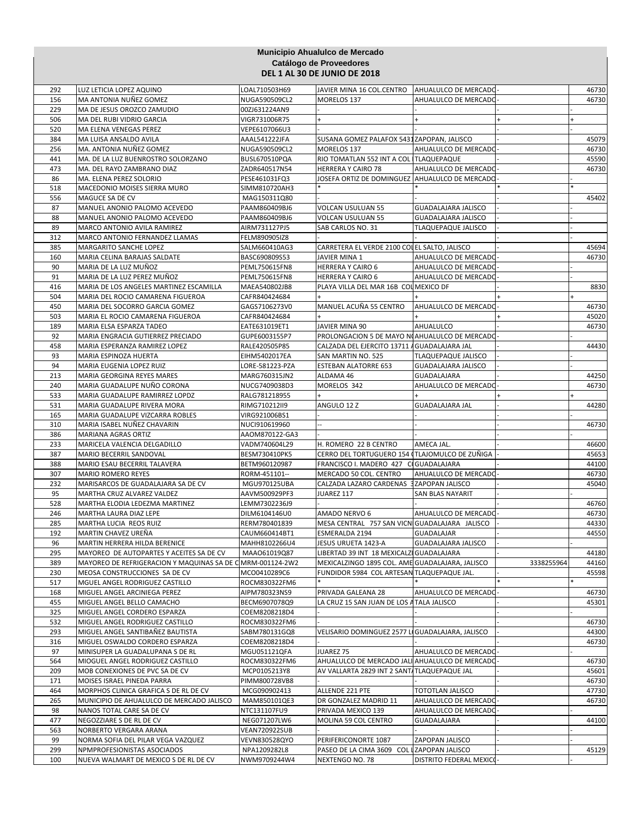|            |                                                                     |                                      | Municipio Ahualulco de Mercado                                     |                            |            |                |
|------------|---------------------------------------------------------------------|--------------------------------------|--------------------------------------------------------------------|----------------------------|------------|----------------|
|            |                                                                     |                                      | Catálogo de Proveedores<br><b>DEL 1 AL 30 DE JUNIO DE 2018</b>     |                            |            |                |
| 292        | LUZ LETICIA LOPEZ AQUINO                                            | LOAL710503H69                        | JAVIER MINA 16 COL.CENTRO                                          | AHUALULCO DE MERCADO       |            | 46730          |
| 156        | MA ANTONIA NUÑEZ GOMEZ                                              | NUGA590509CL2                        | MORELOS 137                                                        | AHUALULCO DE MERCADO       |            | 46730          |
| 229        | MA DE JESUS OROZCO ZAMUDIO                                          | 00ZJ631224AN9                        |                                                                    |                            |            |                |
| 506        | MA DEL RUBI VIDRIO GARCIA                                           | VIGR731006R75                        |                                                                    |                            |            |                |
| 520        | MA ELENA VENEGAS PEREZ                                              | VEPE6107066U3                        |                                                                    |                            |            |                |
| 384        | MA LUISA ANSALDO AVILA                                              | AAAL541222JFA                        | SUSANA GOMEZ PALAFOX 5431ZAPOPAN, JALISCO                          |                            |            | 45079          |
| 256<br>441 | MA. ANTONIA NUÑEZ GOMEZ<br>MA. DE LA LUZ BUENROSTRO SOLORZANO       | NUGA590509CL2<br>BUSL670510PQA       | MORELOS 137<br>RIO TOMATLAN 552 INT A COL ITLAQUEPAQUE             | AHUALULCO DE MERCADO       |            | 46730<br>45590 |
| 473        | MA. DEL RAYO ZAMBRANO DIAZ                                          | ZADR640517N54                        | HERRERA Y CAIRO 78                                                 | AHUALULCO DE MERCADO       |            | 46730          |
| 86         | MA. ELENA PEREZ SOLORIO                                             | PESE461031FQ3                        | JOSEFA ORTIZ DE DOMINGUEZ AHUALULCO DE MERCADO                     |                            |            |                |
| 518        | MACEDONIO MOISES SIERRA MURO                                        | SIMM810720AH3                        |                                                                    |                            |            |                |
| 556        | MAGUCE SA DE CV                                                     | MAG150311Q80                         |                                                                    |                            |            | 45402          |
| 87         | MANUEL ANONIO PALOMO ACEVEDO                                        | PAAM860409BJ6                        | <b>VOLCAN USULUAN 55</b>                                           | <b>GUADALAJARA JALISCO</b> |            |                |
| 88         | MANUEL ANONIO PALOMO ACEVEDO                                        | PAAM860409BJ6                        | <b>VOLCAN USULUAN 55</b>                                           | <b>GUADALAJARA JALISCO</b> |            |                |
| 89         | MARCO ANTONIO AVILA RAMIREZ                                         | AIRM731127PJ5                        | SAB CARLOS NO. 31                                                  | <b>TLAQUEPAQUE JALISCO</b> |            |                |
| 312<br>385 | MARCO ANTONIO FERNANDEZ LLAMAS<br>MARGARITO SANCHE LOPEZ            | FELM890905IZ8<br>SALM660410AG3       | CARRETERA EL VERDE 2100 COLEL SALTO, JALISCO                       |                            |            | 45694          |
| 160        | MARIA CELINA BARAJAS SALDATE                                        | BASC690809S53                        | JAVIER MINA 1                                                      | AHUALULCO DE MERCADO       |            | 46730          |
| 90         | MARIA DE LA LUZ MUÑOZ                                               | PEML750615FN8                        | HERRERA Y CAIRO 6                                                  | AHUALULCO DE MERCADO       |            |                |
| 91         | MARIA DE LA LUZ PEREZ MUÑOZ                                         | PEML750615FN8                        | <b>HERRERA Y CAIRO 6</b>                                           | AHUALULCO DE MERCADO       |            |                |
| 416        | MARIA DE LOS ANGELES MARTINEZ ESCAMILLA                             | MAEA540802JB8                        | PLAYA VILLA DEL MAR 16B COL MEXICO DF                              |                            |            | 8830           |
| 504        | MARIA DEL ROCIO CAMARENA FIGUEROA                                   | CAFR840424684                        |                                                                    |                            |            |                |
| 450        | MARIA DEL SOCORRO GARCIA GOMEZ                                      | GAGS7106273V0                        | MANUEL ACUÑA 55 CENTRO                                             | AHUALULCO DE MERCADO       |            | 46730          |
| 503        | MARIA EL ROCIO CAMARENA FIGUEROA                                    | CAFR840424684                        |                                                                    |                            |            | 45020          |
| 189        | MARIA ELSA ESPARZA TADEO                                            | EATE631019ET1                        | JAVIER MINA 90                                                     | <b>AHUALULCO</b>           |            | 46730          |
| 92         | MARIA ENGRACIA GUTIERREZ PRECIADO                                   | GUPE6003155P7                        | PROLONGACION 5 DE MAYO NOAHUALULCO DE MERCADO                      |                            |            |                |
| 458<br>93  | MARIA ESPERANZA RAMIREZ LOPEZ<br>MARIA ESPINOZA HUERTA              | RALE420505P85<br>EIHM5402017EA       | CALZADA DEL EJERCITO 13711 / GUADALAJARA JAL<br>SAN MARTIN NO. 525 | <b>TLAQUEPAQUE JALISCO</b> |            | 44430          |
| 94         | MARIA EUGENIA LOPEZ RUIZ                                            | LORE-581223-PZA                      | <b>ESTEBAN ALATORRE 653</b>                                        | <b>GUADALAJARA JALISCO</b> |            |                |
| 213        | MARIA GEORGINA REYES MARES                                          | MARG760315JN2                        | ALDAMA 46                                                          | GUADALAJARA                |            | 44250          |
| 240        | MARIA GUADALUPE NUÑO CORONA                                         | NUCG7409038D3                        | MORELOS 342                                                        | AHUALULCO DE MERCADO       |            | 46730          |
| 533        | MARIA GUADALUPE RAMIRREZ LOPDZ                                      | RALG781218955                        |                                                                    |                            |            |                |
| 531        | MARIA GUADALUPE RIVERA MORA                                         | RIMG710212II9                        | ANGULO 12 Z                                                        | <b>GUADALAJARA JAL</b>     |            | 44280          |
| 165        | MARIA GUADALUPE VIZCARRA ROBLES                                     | VIRG921006BS1                        |                                                                    |                            |            |                |
| 310        | MARIA ISABEL NUÑEZ CHAVARIN                                         | NUCI910619960                        |                                                                    |                            |            | 46730          |
| 386<br>233 | MARIANA AGRAS ORTIZ<br>MARICELA VALENCIA DELGADILLO                 | AAOM870122-GA3<br>VADM740604L29      | H. ROMERO 22 B CENTRO                                              | AMECA JAL.                 |            | 46600          |
| 387        | MARIO BECERRIL SANDOVAL                                             | BESM730410PK5                        | CERRO DEL TORTUGUERO 154 (TLAJOMULCO DE ZUÑIGA                     |                            |            | 45653          |
| 388        | MARIO ESAU BECERRIL TALAVERA                                        | BETM960120987                        | FRANCISCO I. MADERO 427 CIGUADALAJARA                              |                            |            | 44100          |
| 307        | <b>MARIO ROMERO REYES</b>                                           | RORM-451101--                        | MERCADO 50 COL. CENTRO                                             | AHUALULCO DE MERCADO       |            | 46730          |
| 232        | MARISARCOS DE GUADALAJARA SA DE CV                                  | MGU970125UBA                         | CALZADA LAZARO CARDENAS 3 ZAPOPAN JALISCO                          |                            |            | 45040          |
| 95         | MARTHA CRUZ ALVAREZ VALDEZ                                          | AAVM500929PF3                        | JUAREZ 117                                                         | SAN BLAS NAYARIT           |            |                |
| 528        | MARTHA ELODIA LEDEZMA MARTINEZ                                      | LEMM7302236J9                        |                                                                    |                            |            | 46760          |
| 246        | MARTHA LAURA DIAZ LEPE                                              | DILM6104146U0                        | AMADO NERVO 6                                                      | AHUALULCO DE MERCADO-      |            | 46730          |
| 285<br>192 | MARTHA LUCIA REOS RUIZ<br>MARTIN CHAVEZ UREÑA                       | RERM780401839<br>CAUM660414BT1       | MESA CENTRAL 757 SAN VICN GUADALAJARA JALISCO<br>ESMERALDA 2194    | <b>GUADALAJAR</b>          |            | 44330<br>44550 |
| 96         | MARTIN HERRERA HILDA BERENICE                                       | MAHH8102266U4                        | JESUS URUETA 1423-A                                                | <b>GUADALAJARA JALISCO</b> |            |                |
| 295        | MAYOREO DE AUTOPARTES Y ACEITES SA DE CV                            | MAA061019Q87                         | LIBERTAD 39 INT 18 MEXICALZI GUADALAJARA                           |                            |            | 44180          |
| 389        | MAYOREO DE REFRIGERACION Y MAQUINAS SA DE C MRM-001124-2W2          |                                      | MEXICALZINGO 1895 COL. AME GUADALAJARA, JALISCO                    |                            | 3338255964 | 44160          |
| 230        | MEOSA CONSTRUCCIONES SA DE CV                                       | MCO0410289C6                         | FUNDIDOR 5984 COL ARTESAN TLAQUEPAQUE JAL.                         |                            |            | 45598          |
| 517        | MGUEL ANGEL RODRIGUEZ CASTILLO                                      | ROCM830322FM6                        |                                                                    |                            |            |                |
| 168        | MIGUEL ANGEL ARCINIEGA PEREZ                                        | AIPM780323NS9                        | PRIVADA GALEANA 28                                                 | AHUALULCO DE MERCADO       |            | 46730          |
| 455        | MIGUEL ANGEL BELLO CAMACHO                                          | BECM6907078Q9                        | LA CRUZ 15 SAN JUAN DE LOS A TALA JALISCO                          |                            |            | 45301          |
| 325        | MIGUEL ANGEL CORDERO ESPARZA                                        | COEM8208218D4                        |                                                                    |                            |            |                |
| 532<br>293 | MIGUEL ANGEL RODRIGUEZ CASTILLO<br>MIGUEL ANGEL SANTIBAÑEZ BAUTISTA | ROCM830322FM6<br>SABM780131GQ8       | VELISARIO DOMINGUEZ 2577 LI GUADALAJARA, JALISCO                   |                            |            | 46730<br>44300 |
| 316        | MIGUEL OSWALDO CORDERO ESPARZA                                      | COEM8208218D4                        |                                                                    |                            |            | 46730          |
| 97         | MINISUPER LA GUADALUPANA S DE RL                                    | MGU051121QFA                         | JUAREZ 75                                                          | AHUALULCO DE MERCADO       |            |                |
| 564        | MIOGUEL ANGEL RODRIGUEZ CASTILLO                                    | ROCM830322FM6                        | AHUALULCO DE MERCADO JALI AHUALULCO DE MERCADO                     |                            |            | 46730          |
| 209        | MOB CONEXIONES DE PVC SA DE CV                                      | MCP0105213Y8                         | AV VALLARTA 2829 INT 2 SANT/TLAQUEPAQUE JAL                        |                            |            | 45601          |
| 171        | MOISES ISRAEL PINEDA PARRA                                          | PIMM800728VB8                        |                                                                    |                            |            | 46730          |
| 464        | MORPHOS CLINICA GRAFICA S DE RL DE CV                               | MCG090902413                         | ALLENDE 221 PTE                                                    | <b>TOTOTLAN JALISCO</b>    |            | 47730          |
| 265        | MUNICIPIO DE AHUALULCO DE MERCADO JALISCO                           | MAM850101QE3                         | DR GONZALEZ MADRID 11                                              | AHUALULCO DE MERCADO       |            | 46730          |
| 98         | NANOS TOTAL CARE SA DE CV                                           | NTC131107FU9                         | PRIVADA MEXICO 139                                                 | AHUALULCO DE MERCADO       |            |                |
| 477<br>563 | NEGOZZIARE S DE RL DE CV<br>NORBERTO VERGARA ARANA                  | NEG071207LW6<br><b>VEAN720922SUB</b> | MOLINA 59 COL CENTRO                                               | GUADALAJARA                |            | 44100          |
| 99         | NORMA SOFIA DEL PILAR VEGA VAZQUEZ                                  | VEVN830528QYO                        | PERIFERICONORTE 1087                                               | ZAPOPAN JALISCO            |            |                |
| 299        | NPMPROFESIONISTAS ASOCIADOS                                         | NPA1209282L8                         | PASEO DE LA CIMA 3609 COL LZAPOPAN JALISCO                         |                            |            | 45129          |
| 100        | NUEVA WALMART DE MEXICO S DE RL DE CV                               | NWM9709244W4                         | NEXTENGO NO. 78                                                    | DISTRITO FEDERAL MEXICO-   |            |                |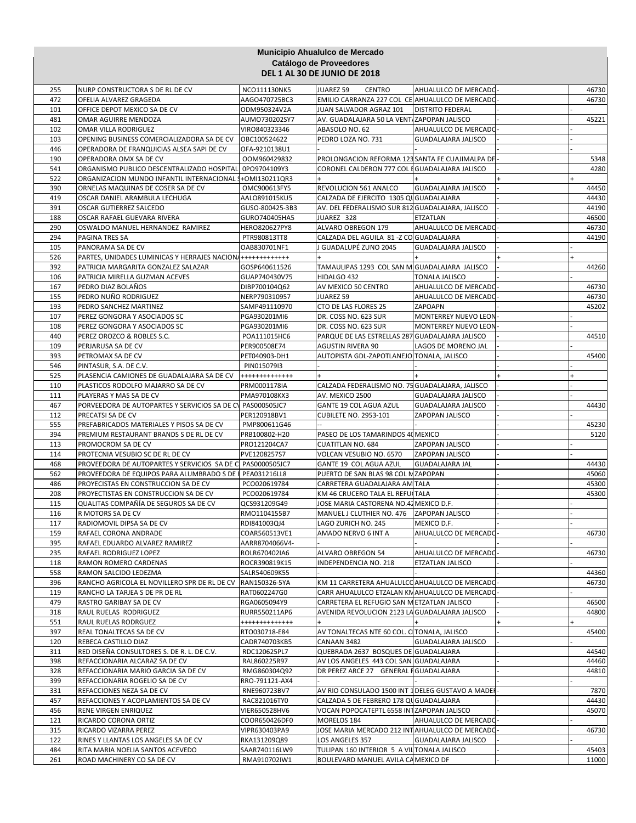|            |                                                                                         |                                | Municipio Ahualulco de Mercado                                     |                                            |                |
|------------|-----------------------------------------------------------------------------------------|--------------------------------|--------------------------------------------------------------------|--------------------------------------------|----------------|
|            |                                                                                         |                                | Catálogo de Proveedores                                            |                                            |                |
|            |                                                                                         |                                | <b>DEL 1 AL 30 DE JUNIO DE 2018</b>                                |                                            |                |
| 255        | NURP CONSTRUCTORA S DE RL DE CV                                                         | NCO111130NK5                   | JUAREZ 59<br>CENTRO                                                | AHUALULCO DE MERCADO-                      | 46730          |
| 472        | OFELIA ALVAREZ GRAGEDA                                                                  | AAGO470725BC3                  | EMILIO CARRANZA 227 COL CE AHUALULCO DE MERCADO                    |                                            | 46730          |
| 101        | OFFICE DEPOT MEXICO SA DE CV                                                            | ODM950324V2A                   | JUAN SALVADOR AGRAZ 101                                            | <b>DISTRITO FEDERAL</b>                    |                |
| 481        | OMAR AGUIRRE MENDOZA                                                                    | AUMO730202SY7                  | AV. GUADALAJARA 50 LA VENT ZAPOPAN JALISCO                         |                                            | 45221          |
| 102        | OMAR VILLA RODRIGUEZ                                                                    | VIRO840323346                  | ABASOLO NO. 62                                                     | AHUALULCO DE MERCADO-                      |                |
| 103<br>446 | OPENING BUSINESS COMERCIALIZADORA SA DE CV<br>OPERADORA DE FRANQUICIAS ALSEA SAPI DE CV | OBC100524622<br>OFA-9210138U1  | PEDRO LOZA NO. 731                                                 | <b>GUADALAJARA JALISCO</b>                 |                |
| 190        | OPERADORA OMX SA DE CV                                                                  | OOM960429832                   | PROLONGACION REFORMA 123 SANTA FE CUAJIMALPA DF                    |                                            | 5348           |
| 541        | ORGANISMO PUBLICO DESCENTRALIZADO HOSPITAL                                              | 0PO9704109Y3                   | CORONEL CALDERON 777 COL EGUADALAJARA JALISCO                      |                                            | 4280           |
| 522        | ORGANIZACION MUNDO INFANTIL INTERNACIONAL \$                                            | +OMI130211QR3                  |                                                                    |                                            |                |
| 390        | ORNELAS MAQUINAS DE COSER SA DE CV                                                      | OMC900613FY5                   | REVOLUCION 561 ANALCO                                              | <b>GUADALAJARA JALISCO</b>                 | 44450          |
| 419        | OSCAR DANIEL ARAMBULA LECHUGA                                                           | AALO891015KU5                  | CALZADA DE EJERCITO 1305 QUGUADALAJARA                             |                                            | 44430          |
| 391        | OSCAR GUTIERREZ SALCEDO                                                                 | GUSO-800425-3B3                | AV. DEL FEDERALISMO SUR 812 GUADALAJARA, JALISCO                   |                                            | 44190          |
| 188<br>290 | OSCAR RAFAEL GUEVARA RIVERA                                                             | GURO740405HA5                  | JUAREZ 328<br>ALVARO OBREGON 179                                   | ETZATLAN<br>AHUALULCO DE MERCADO           | 46500          |
| 294        | OSWALDO MANUEL HERNANDEZ RAMIREZ<br>PAGINA TRES SA                                      | HERO820627PY8<br>PTR980813TT8  | CALZADA DEL AGUILA 81 - Z CO GUADALAJARA                           |                                            | 46730<br>44190 |
| 105        | PANORAMA SA DE CV                                                                       | OAB830701NF1                   | J GUADALUPÉ ZUNO 2045                                              | <b>GUADALAJARA JALISCO</b>                 |                |
| 526        | PARTES, UNIDADES LUMINICAS Y HERRAJES NACIONA                                           | ++++++++++++                   |                                                                    |                                            |                |
| 392        | PATRICIA MARGARITA GONZALEZ SALAZAR                                                     | GOSP640611526                  | TAMAULIPAS 1293 COL SAN M GUADALAJARA JALISCO                      |                                            | 44260          |
| 106        | PATRICIA MIRELLA GUZMAN ACEVES                                                          | GUAP740430V75                  | HIDALGO 432                                                        | <b>TONALA JALISCO</b>                      |                |
| 167        | PEDRO DIAZ BOLAÑOS                                                                      | DIBP700104Q62                  | AV MEXICO 50 CENTRO                                                | AHUALULCO DE MERCADO-                      | 46730          |
| 155        | PEDRO NUÑO RODRIGUEZ                                                                    | NERP790310957                  | JUAREZ 59                                                          | AHUALULCO DE MERCADO                       | 46730          |
| 193<br>107 | PEDRO SANCHEZ MARTINEZ<br>PEREZ GONGORA Y ASOCIADOS SC                                  | SAMP491110970<br>PGA930201MI6  | CTO DE LAS FLORES 25<br>DR. COSS NO. 623 SUR                       | ZAPOAPN<br>MONTERREY NUEVO LEON            | 45202          |
| 108        | PEREZ GONGORA Y ASOCIADOS SC                                                            | PGA930201MI6                   | DR. COSS NO. 623 SUR                                               | MONTERREY NUEVO LEON                       |                |
| 440        | PEREZ OROZCO & ROBLES S.C.                                                              | POA111015HC6                   | PARQUE DE LAS ESTRELLAS 287 GUADALAJARA JALISCO                    |                                            | 44510          |
| 109        | PERJARUSA SA DE CV                                                                      | PER900508E74                   | <b>AGUSTIN RIVERA 90</b>                                           | LAGOS DE MORENO JAL                        |                |
| 393        | PETROMAX SA DE CV                                                                       | PET040903-DH1                  | AUTOPISTA GDL-ZAPOTLANEJO TONALA, JALISCO                          |                                            | 45400          |
| 546        | PINTASUR, S.A. DE C.V.                                                                  | PIN015079I3                    |                                                                    |                                            |                |
| 525        | PLASENCIA CAMIONES DE GUADALAJARA SA DE CV                                              | +++++++++++++                  |                                                                    |                                            |                |
| 110        | PLASTICOS RODOLFO MAJARRO SA DE CV                                                      | PRM0001178IA                   | CALZADA FEDERALISMO NO. 75 GUADALAJARA, JALISCO                    |                                            |                |
| 111<br>467 | PLAYERAS Y MAS SA DE CV<br>PORVEEDORA DE AUTOPARTES Y SERVICIOS SA DE CV PAS000505JC7   | PMA970108KX3                   | AV. MEXICO 2500<br><b>GANTE 19 COL AGUA AZUL</b>                   | GUADALAJARA JALISCO<br>GUADALAJARA JALISCO | 44430          |
| 112        | PRECATSI SA DE CV                                                                       | PER120918BV1                   | <b>CUBILETE NO. 2953-101</b>                                       | ZAPOPAN JALISCO                            |                |
| 555        | PREFABRICADOS MATERIALES Y PISOS SA DE CV                                               | PMP800611G46                   |                                                                    |                                            | 45230          |
| 394        | PREMIUM RESTAURANT BRANDS S DE RL DE CV                                                 | PRB100802-H20                  | PASEO DE LOS TAMARINDOS 40 MEXICO                                  |                                            | 5120           |
| 113        | PROMOCROM SA DE CV                                                                      | PRO121204CA7                   | <b>CUATITLAN NO. 684</b>                                           | ZAPOPAN JALISCO                            |                |
| 114        | PROTECNIA VESUBIO SC DE RL DE CV                                                        | PVE1208257S7                   | VOLCAN VESUBIO NO. 6570                                            | ZAPOPAN JALISCO                            |                |
| 468        | PROVEEDORA DE AUTOPARTES Y SERVICIOS SA DE C PAS0000505JC7                              |                                | GANTE 19 COL AGUA AZUL                                             | <b>GUADALAJARA JAL</b>                     | 44430          |
| 562        | PROVEEDORA DE EQUIPOS PARA ALUMBRADO S DE PEA031216LL8                                  |                                | PUERTO DE SAN BLAS 98 COL N ZAPOPAN                                |                                            | 45060          |
| 486<br>208 | PROYECISTAS EN CONSTRUCCION SA DE CV<br>PROYECTISTAS EN CONSTRUCCION SA DE CV           | PCO020619784<br>PCO020619784   | CARRETERA GUADALAJARA AM TALA<br>KM 46 CRUCERO TALA EL REFUITALA   |                                            | 45300<br>45300 |
| 115        | QUALITAS COMPAÑÍA DE SEGUROS SA DE CV                                                   | QCS931209G49                   | JOSE MARIA CASTORENA NO.42 MEXICO D.F.                             |                                            |                |
| 116        | R MOTORS SA DE CV                                                                       | RMO1104155B7                   | MANUEL J CLUTHIER NO. 476 ZAPOPAN JALISCO                          |                                            |                |
| 117        | RADIOMOVIL DIPSA SA DE CV                                                               | RDI841003QJ4                   | LAGO ZURICH NO. 245                                                | MEXICO D.F.                                |                |
| 159        | RAFAEL CORONA ANDRADE                                                                   | COAR560513VE1                  | AMADO NERVO 6 INT A                                                | AHUALULCO DE MERCADO                       | 46730          |
| 395        | RAFAEL EDUARDO ALVAREZ RAMIREZ                                                          | AARR8704066V4-                 |                                                                    |                                            |                |
| 235        | RAFAEL RODRIGUEZ LOPEZ                                                                  | ROLR670402IA6                  | ALVARO OBREGON 54                                                  | AHUALULCO DE MERCADO                       | 46730          |
| 118<br>558 | RAMON ROMERO CARDENAS<br>RAMON SALCIDO LEDEZMA                                          | ROCR390819K15<br>SALR540609K55 | INDEPENDENCIA NO. 218                                              | ETZATLAN JALISCO                           | 44360          |
| 396        | RANCHO AGRICOLA EL NOVILLERO SPR DE RL DE CV                                            | RAN150326-5YA                  | KM 11 CARRETERA AHUALULCO AHUALULCO DE MERCADO                     |                                            | 46730          |
| 119        | RANCHO LA TARJEA S DE PR DE RL                                                          | RAT0602247G0                   | CARR AHUALULCO ETZALAN KN AHUALULCO DE MERCADO                     |                                            |                |
| 479        | RASTRO GARIBAY SA DE CV                                                                 | RGA0605094Y9                   | CARRETERA EL REFUGIO SAN METZATLAN JALISCO                         |                                            | 46500          |
| 318        | RAUL RUELAS RODRIGUEZ                                                                   | RURR550211AP6                  | AVENIDA REVOLUCION 2123 LA GUADALAJARA JALISCO                     |                                            | 44800          |
| 551        | RAUL RUELAS RODRGUEZ                                                                    | +++++++++++++                  |                                                                    |                                            |                |
| 397        | REAL TONALTECAS SA DE CV                                                                | RTO030718-E84                  | AV TONALTECAS NTE 60 COL. C TONALA, JALISCO                        |                                            | 45400          |
| 120<br>311 | REBECA CASTILLO DIAZ<br>RED DISEÑA CONSULTORES S. DE R. L. DE C.V.                      | CADR740703KB5                  | CANAAN 3482<br>QUEBRADA 2637 BOSQUES DE GUADALAJARA                | GUADALAJARA JALISCO                        | 44540          |
| 398        | REFACCIONARIA ALCARAZ SA DE CV                                                          | RDC120625PL7<br>RAL860225R97   | AV LOS ANGELES 443 COL SAN GUADALAJARA                             |                                            | 44460          |
| 328        | REFACCIONARIA MARIO GARCIA SA DE CV                                                     | RMG860304Q92                   | DR PEREZ ARCE 27 GENERAL FGUADALAJARA                              |                                            | 44810          |
| 399        | REFACCIONARIA ROGELIO SA DE CV                                                          | RRO-791121-AX4                 |                                                                    |                                            |                |
| 331        | REFACCIONES NEZA SA DE CV                                                               | RNE960723BV7                   | AV RIO CONSULADO 1500 INT 1 DELEG GUSTAVO A MADER                  |                                            | 7870           |
| 457        | REFACCIONES Y ACOPLAMIENTOS SA DE CV                                                    | RAC821016TY0                   | CALZADA 5 DE FEBRERO 178 QU GUADALAJARA                            |                                            | 44430          |
| 456        | RENE VIRGEN ENRIQUEZ                                                                    | VIER650528HV6                  | VOCAN POPOCATEPTL 6558 INTZAPOPAN JALISCO                          |                                            | 45070          |
| 121        | RICARDO CORONA ORTIZ                                                                    | COOR650426DF0                  | MORELOS 184                                                        | AHUALULCO DE MERCADO                       |                |
| 315<br>122 | RICARDO VIZARRA PEREZ<br>RINES Y LLANTAS LOS ANGELES SA DE CV                           | VIPR630403PA9<br>RKA131209Q89  | JOSE MARIA MERCADO 212 INTAHUALULCO DE MERCADO-<br>LOS ANGELES 357 | GUADALAJARA JALISCO                        | 46730          |
| 484        | RITA MARIA NOELIA SANTOS ACEVEDO                                                        | SAAR740116LW9                  | TULIPAN 160 INTERIOR 5 A VIL TONALA JALISCO                        |                                            | 45403          |
| 261        | ROAD MACHINERY CO SA DE CV                                                              | RMA910702IW1                   | BOULEVARD MANUEL AVILA CA MEXICO DF                                |                                            | 11000          |
|            |                                                                                         |                                |                                                                    |                                            |                |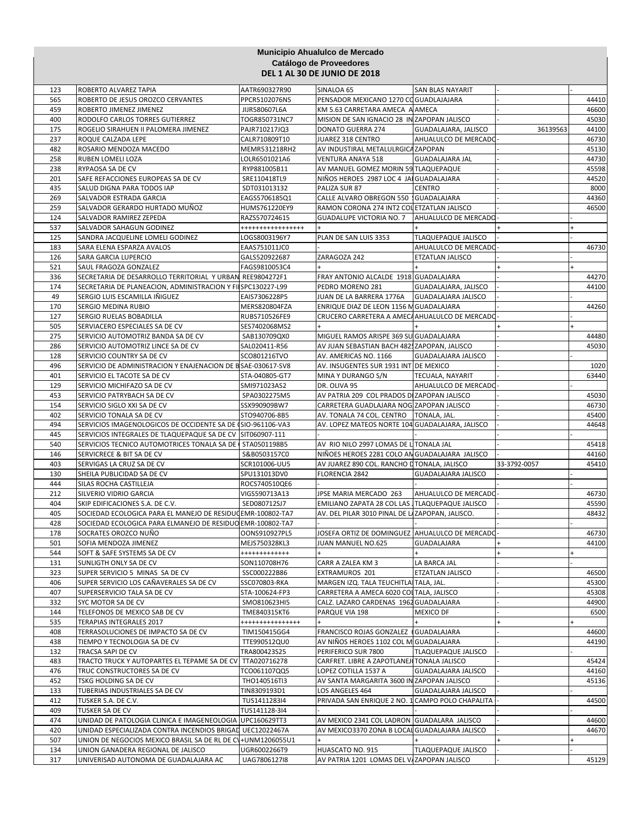|            |                                                                                                                          |                               | Municipio Ahualulco de Mercado                                                           |                            |              |                |  |  |
|------------|--------------------------------------------------------------------------------------------------------------------------|-------------------------------|------------------------------------------------------------------------------------------|----------------------------|--------------|----------------|--|--|
|            | Catálogo de Proveedores<br><b>DEL 1 AL 30 DE JUNIO DE 2018</b>                                                           |                               |                                                                                          |                            |              |                |  |  |
| 123        | ROBERTO ALVAREZ TAPIA                                                                                                    | AATR690327R90                 | SINALOA 65                                                                               | <b>SAN BLAS NAYARIT</b>    |              |                |  |  |
| 565        | ROBERTO DE JESUS OROZCO CERVANTES                                                                                        | PPCR5102076N5                 | PENSADOR MEXICANO 1270 CO GUADLAJAJARA                                                   |                            |              | 44410          |  |  |
| 459        | ROBERTO JIMENEZ JIMENEZ                                                                                                  | JIJR580607L6A                 | KM 5.63 CARRETARA AMECA A AMECA                                                          |                            |              | 46600          |  |  |
| 400        | RODOLFO CARLOS TORRES GUTIERREZ                                                                                          | TOGR850731NC7                 | MISION DE SAN IGNACIO 28 IN ZAPOPAN JALISCO                                              |                            |              | 45030          |  |  |
| 175        | ROGELIO SIRAHUEN II PALOMERA JIMENEZ                                                                                     | PAJR710217JQ3                 | <b>DONATO GUERRA 274</b>                                                                 | GUADALAJARA, JALISCO       | 36139563     | 44100          |  |  |
| 237        | ROQUE CALZADA LEPE                                                                                                       | CALR710809T10                 | JUAREZ 318 CENTRO                                                                        | AHUALULCO DE MERCADO       |              | 46730          |  |  |
| 482        | ROSARIO MENDOZA MACEDO                                                                                                   | MEMR531218RH2                 | AV INDUSTIRAL METALULRGICA ZAPOPAN                                                       |                            |              | 45130          |  |  |
| 258        | RUBEN LOMELI LOZA                                                                                                        | LOLR6501021A6                 | VENTURA ANAYA 518<br>AV MANUEL GOMEZ MORIN 59 TLAQUEPAQUE                                | <b>GUADALAJARA JAL</b>     |              | 44730          |  |  |
| 238<br>201 | RYPAOSA SA DE CV<br>SAFE REFACCIONES EUROPEAS SA DE CV                                                                   | RYP881005B11<br>SRE110418TL9  | NIÑOS HEROES 2987 LOC 4 JAI GUADALAJARA                                                  |                            |              | 45598<br>44520 |  |  |
| 435        | SALUD DIGNA PARA TODOS IAP                                                                                               | SDT031013132                  | PALIZA SUR 87                                                                            | <b>CENTRO</b>              |              | 8000           |  |  |
| 269        | SALVADOR ESTRADA GARCIA                                                                                                  | EAGS5706185Q1                 | CALLE ALVARO OBREGON 550 GUADALAJARA                                                     |                            |              | 44360          |  |  |
| 259        | SALVADOR GERARDO HURTADO MUÑOZ                                                                                           | HUMS761220EY9                 | RAMON CORONA 274 INT2 COL ETZATLAN JALISCO                                               |                            |              | 46500          |  |  |
| 124        | SALVADOR RAMIREZ ZEPEDA                                                                                                  | RAZS570724615                 | GUADALUPE VICTORIA NO. 7                                                                 | AHUALULCO DE MERCADO       |              |                |  |  |
| 537        | SALVADOR SAHAGUN GODINEZ                                                                                                 | *****************             |                                                                                          |                            |              |                |  |  |
| 125        | SANDRA JACQUELINE LOMELI GODINEZ                                                                                         | LOGS8003196Y7                 | PLAN DE SAN LUIS 3353                                                                    | TLAQUEPAQUE JALISCO        |              |                |  |  |
| 183        | SARA ELENA ESPARZA AVALOS                                                                                                | EAAS751011JC0                 |                                                                                          | AHUALULCO DE MERCADO       |              | 46730          |  |  |
| 126        | SARA GARCIA LUPERCIO                                                                                                     | GALS520922687                 | ZARAGOZA 242                                                                             | ETZATLAN JALISCO           |              |                |  |  |
| 521        | SAUL FRAGOZA GONZALEZ                                                                                                    | FAGS9810053C4                 |                                                                                          |                            |              |                |  |  |
| 336        | SECRETARIA DE DESARROLLO TERRITORIAL Y URBAN REE9804272F1                                                                |                               | FRAY ANTONIO ALCALDE 1918 GUADALAJARA                                                    |                            |              | 44270          |  |  |
| 174        | SECRETARIA DE PLANEACION, ADMINISTRACION Y FI SPC130227-L99                                                              |                               | PEDRO MORENO 281                                                                         | GUADALAJARA, JALISCO       |              | 44100          |  |  |
| 49         | SERGIO LUIS ESCAMILLA IÑIGUEZ                                                                                            | EAIS7306228P5                 | JUAN DE LA BARRERA 1776A                                                                 | <b>GUADALAJARA JALISCO</b> |              |                |  |  |
| 170        | SERGIO MEDINA RUBIO                                                                                                      | MERS820804FZA                 | ENRIQUE DIAZ DE LEON 1156 M GUADALAJARA                                                  |                            |              | 44260          |  |  |
| 127        | SERGIO RUELAS BOBADILLA                                                                                                  | RUBS710526FE9                 | CRUCERO CARRETERA A AMECAAHUALULCO DE MERCADO-                                           |                            |              |                |  |  |
| 505        | SERVIACERO ESPECIALES SA DE CV                                                                                           | SES7402068MS2                 |                                                                                          |                            |              |                |  |  |
| 275        | SERVICIO AUTOMOTRIZ BANDA SA DE CV                                                                                       | SAB130709QX0                  | MIGUEL RAMOS ARISPE 369 SU GUADALAJARA                                                   |                            |              | 44480          |  |  |
| 286        | SERVICIO AUTOMOTRIZ LINCE SA DE CV                                                                                       | SAL020411-R56                 | AV JUAN SEBASTIAN BACH 4825 ZAPOPAN, JALISCO                                             |                            |              | 45030          |  |  |
| 128        | SERVICIO COUNTRY SA DE CV                                                                                                | SCO801216TVO                  | AV. AMERICAS NO. 1166                                                                    | <b>GUADALAJARA JALISCO</b> |              |                |  |  |
| 496        | SERVICIO DE ADMINISTRACION Y ENAJENACION DE B SAE-030617-SV8                                                             |                               | AV. INSUGENTES SUR 1931 INT DE MEXICO                                                    |                            |              | 1020           |  |  |
| 401        | SERVICIO EL TACOTE SA DE CV                                                                                              | STA-040805-GT7                | MINA Y DURANGO S/N                                                                       | TECUALA, NAYARIT           |              | 63440          |  |  |
| 129        | SERVICIO MICHIFAZO SA DE CV                                                                                              | SMI971023AS2                  | DR. OLIVA 95                                                                             | AHUALULCO DE MERCADO       |              |                |  |  |
| 453        | SERVICIO PATRYBACH SA DE CV                                                                                              | SPA0302275M5                  | AV PATRIA 209 COL PRADOS DI ZAPOPAN JALISCO                                              |                            |              | 45030          |  |  |
| 154        | SERVICIO SIGLO XXI SA DE CV                                                                                              | SSX990909BW7                  | CARRETERA GUADLAJARA NOG ZAPOPAN JALISCO                                                 |                            |              | 46730          |  |  |
| 402        | SERVICIO TONALA SA DE CV                                                                                                 | STO940706-8B5                 | AV. TONALA 74 COL. CENTRO                                                                | TONALA, JAL                |              | 45400          |  |  |
| 494        | SERVICIOS IMAGENOLOGICOS DE OCCIDENTE SA DE (SIO-961106-VA3                                                              |                               | AV. LOPEZ MATEOS NORTE 104 GUADALAJARA, JALISCO                                          |                            |              | 44648          |  |  |
| 445        | SERVICIOS INTEGRALES DE TLAQUEPAQUE SA DE CV SIT060907-111                                                               |                               |                                                                                          |                            |              |                |  |  |
| 540        | SERVICIOS TECNICO AUTOMOTRICES TONALA SA DE STA0501198B5                                                                 |                               | AV RIO NILO 2997 LOMAS DE L TONALA JAL<br>NIÑOES HEROES 2281 COLO AN GUADALAJARA JALISCO |                            |              | 45418          |  |  |
| 146<br>403 | SERVICRECE & BIT SA DE CV<br>SERVIGAS LA CRUZ SA DE CV                                                                   | S&B0503157C0<br>SCR101006-UU5 | AV JUAREZ 890 COL. RANCHO DTONALA, JALISCO                                               |                            | 33-3792-0057 | 44160<br>45410 |  |  |
| 130        | SHEILA PUBLICIDAD SA DE CV                                                                                               | SPU131013DV0                  | <b>FLORENCIA 2842</b>                                                                    | <b>GUADALAJARA JALISCO</b> |              |                |  |  |
| 444        | SILAS ROCHA CASTILLEJA                                                                                                   | ROCS740510QE6                 |                                                                                          |                            |              |                |  |  |
| 212        | SILVERIO VIDRIO GARCIA                                                                                                   | VIGS590713A13                 | JPSE MARIA MERCADO 263                                                                   | AHUALULCO DE MERCADO       |              | 46730          |  |  |
| 404        | SKIP EDIFICACIONES S.A. DE C.V.                                                                                          | SED080712SJ7                  | EMILIANO ZAPATA 28 COL LAS TLAQUEPAQUE JALISCO                                           |                            |              | 45590          |  |  |
| 405        | SOCIEDAD ECOLOGICA PARA EL MANEJO DE RESIDUCEMR-100802-TA7                                                               |                               | AV. DEL PILAR 3010 PINAL DE LAZAPOPAN, JALISCO.                                          |                            |              | 48432          |  |  |
| 428        | SOCIEDAD ECOLOGICA PARA ELMANEJO DE RESIDUO EMR-100802-TA7                                                               |                               |                                                                                          |                            |              |                |  |  |
| 178        | SOCRATES OROZCO NUÑO                                                                                                     | OONS910927PL5                 | JOSEFA ORTIZ DE DOMINGUEZ                                                                | AHUALULCO DE MERCADO       |              | 46730          |  |  |
| 501        | SOFIA MENDOZA JIMENEZ                                                                                                    | MEJS750328KL3                 | JUAN MANUEL NO.625                                                                       | GUADALAJARA                |              | 44100          |  |  |
| 544        | SOFT & SAFE SYSTEMS SA DE CV                                                                                             | ++++++++++++                  |                                                                                          |                            |              |                |  |  |
| 131        | SUNLIGTH ONLY SA DE CV                                                                                                   | SON110708H76                  | CARR A ZALEA KM 3                                                                        | LA BARCA JAL               |              |                |  |  |
| 323        | SUPER SERVICIO 5 MINAS SA DE CV                                                                                          | SSC000222B86                  | EXTRAMUROS 201                                                                           | ETZATLAN JALISCO           |              | 46500          |  |  |
| 406        | SUPER SERVICIO LOS CAÑAVERALES SA DE CV                                                                                  | SSC070803-RKA                 | MARGEN IZQ. TALA TEUCHITLA TALA, JAL.                                                    |                            |              | 45300          |  |  |
| 407        | SUPERSERVICIO TALA SA DE CV                                                                                              | STA-100624-FP3                | CARRETERA A AMECA 6020 COLTALA, JALISCO                                                  |                            |              | 45308          |  |  |
| 332        | SYC MOTOR SA DE CV                                                                                                       | SMO810623HI5                  | CALZ. LAZARO CARDENAS 1962 GUADALAJARA                                                   |                            |              | 44900          |  |  |
| 144        | TELEFONOS DE MEXICO SAB DE CV                                                                                            | TME840315KT6                  | PARQUE VIA 198                                                                           | <b>MEXICO DF</b>           |              | 6500           |  |  |
| 535        | TERAPIAS INTEGRALES 2017                                                                                                 | ****************              |                                                                                          |                            |              |                |  |  |
| 408        | TERRASOLUCIONES DE IMPACTO SA DE CV                                                                                      | TIM150415GG4                  | FRANCISCO ROJAS GONZALEZ (GUADALAJARA                                                    |                            |              | 44600          |  |  |
| 438        | TIEMPO Y TECNOLOGIA SA DE CV                                                                                             | TTE990512QU0                  | AV NIÑOS HEROES 1102 COL M GUADALAJARA                                                   |                            |              | 44190          |  |  |
| 132        | TRACSA SAPI DE CV                                                                                                        | TRA800423S25                  | PERIFERICO SUR 7800                                                                      | TLAQUEPAQUE JALISCO        |              |                |  |  |
| 483        | TRACTO TRUCK Y AUTOPARTES EL TEPAME SA DE CV TTA020716278                                                                |                               | CARFRET. LIBRE A ZAPOTLANEJI TONALA JALISCO                                              |                            |              | 45424          |  |  |
| 476        | TRUC CONSTRUCTORES SA DE CV                                                                                              | TCO061107QQ5                  | LOPEZ COTILLA 1537 A                                                                     | GUADALAJARA JALISCO        |              | 44160          |  |  |
| 452        | TSKG HOLDING SA DE CV                                                                                                    | THO140516TI3                  | AV SANTA MARGARITA 3600 IN ZAPOPAN JALISCO                                               |                            |              | 45136          |  |  |
| 133        | TUBERIAS INDUSTRIALES SA DE CV                                                                                           | TIN8309193D1                  | LOS ANGELES 464                                                                          | GUADALAJARA JALISCO        |              |                |  |  |
| 412        | TUSKER S.A. DE C.V.                                                                                                      | TUS1411283I4                  | PRIVADA SAN ENRIQUE 2 NO. 1 CAMPO POLO CHAPALITA                                         |                            |              | 44500          |  |  |
| 409        | TUSKER SA DE CV                                                                                                          | TUS141128-3I4                 |                                                                                          |                            |              |                |  |  |
| 474        | UNIDAD DE PATOLOGIA CLINICA E IMAGENEOLOGIA UPC160629TT3                                                                 |                               | AV MEXICO 2341 COL LADRON GUADALARA JALISCO                                              |                            |              | 44600          |  |  |
| 420<br>507 | UNIDAD ESPECIALIZADA CONTRA INCENDIOS BRIGAD UEC12022467A<br>UNION DE NEGOCIOS MEXICO BRASIL SA DE RL DE CV+UNM1206055U1 |                               | AV MEXICO3370 ZONA B LOCAL GUADALAJARA JALISCO                                           |                            |              | 44670          |  |  |
| 134        | UNION GANADERA REGIONAL DE JALISCO                                                                                       | UGR6002266T9                  | HUASCATO NO. 915                                                                         | TLAQUEPAQUE JALISCO        |              |                |  |  |
| 317        | UNIVERISAD AUTONOMA DE GUADALAJARA AC                                                                                    | UAG7806127I8                  | AV PATRIA 1201 LOMAS DEL V/ZAPOPAN JALISCO                                               |                            |              | 45129          |  |  |
|            |                                                                                                                          |                               |                                                                                          |                            |              |                |  |  |